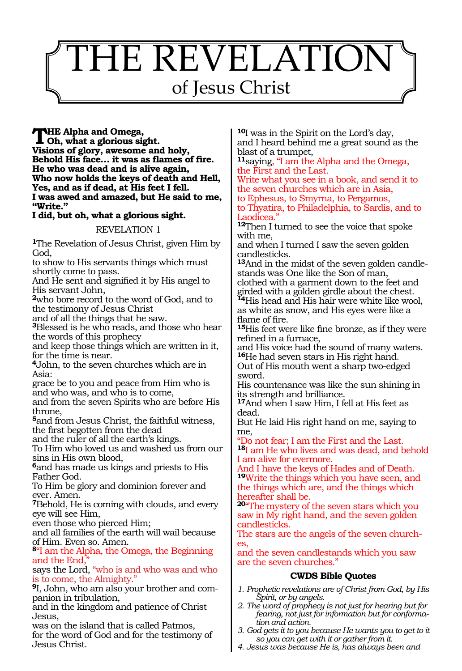# THE REVELATION of Jesus Christ

**The Alpha and Omega, Oh, what a glorious sight. Visions of glory, awesome and holy, Behold His face… it was as flames of fire. He who was dead and is alive again, Who now holds the keys of death and Hell, Yes, and as if dead, at His feet I fell. I was awed and amazed, but He said to me, "Write."**

## **I did, but oh, what a glorious sight.**

## REVELATION 1

**<sup>1</sup>**The Revelation of Jesus Christ, given Him by God,

to show to His servants things which must shortly come to pass.

And He sent and signified it by His angel to His servant John,

**<sup>2</sup>**who bore record to the word of God, and to the testimony of Jesus Christ

and of all the things that he saw.

**<sup>3</sup>**Blessed is he who reads, and those who hear the words of this prophecy

and keep those things which are written in it, for the time is near.

**<sup>4</sup>**John, to the seven churches which are in Asia:

grace be to you and peace from Him who is and who was, and who is to come,

and from the seven Spirits who are before His throne,

**<sup>5</sup>**and from Jesus Christ, the faithful witness, the first begotten from the dead

and the ruler of all the earth's kings.

To Him who loved us and washed us from our sins in His own blood,

**<sup>6</sup>**and has made us kings and priests to His Father God.

To Him be glory and dominion forever and ever. Amen.

**<sup>7</sup>**Behold, He is coming with clouds, and every eye will see Him,

even those who pierced Him;

and all families of the earth will wail because of Him. Even so. Amen.

**<sup>8</sup>**"I am the Alpha, the Omega, the Beginning and the End,"

says the Lord, "who is and who was and who is to come, the Almighty."

**9**I, John, who am also your brother and companion in tribulation,

and in the kingdom and patience of Christ Jesus,

was on the island that is called Patmos, for the word of God and for the testimony of Jesus Christ.

**<sup>10</sup>**I was in the Spirit on the Lord's day, and I heard behind me a great sound as the blast of a trumpet,

**<sup>11</sup>**saying, "I am the Alpha and the Omega, the First and the Last.

Write what you see in a book, and send it to the seven churches which are in Asia, to Ephesus, to Smyrna, to Pergamos,

to Thyatira, to Philadelphia, to Sardis, and to Laodicea."

**<sup>12</sup>**Then I turned to see the voice that spoke with me,

and when I turned I saw the seven golden candlesticks.

**13**And in the midst of the seven golden candlestands was One like the Son of man,

clothed with a garment down to the feet and girded with a golden girdle about the chest. **<sup>14</sup>**His head and His hair were white like wool,

as white as snow, and His eyes were like a flame of fire.

**<sup>15</sup>**His feet were like fine bronze, as if they were refined in a furnace,

and His voice had the sound of many waters. **<sup>16</sup>**He had seven stars in His right hand.

Out of His mouth went a sharp two-edged sword.

His countenance was like the sun shining in its strength and brilliance.

**<sup>17</sup>**And when I saw Him, I fell at His feet as dead.

But He laid His right hand on me, saying to me,

"Do not fear; I am the First and the Last.

**<sup>18</sup>**I am He who lives and was dead, and behold I am alive for evermore.

And I have the keys of Hades and of Death. **<sup>19</sup>**Write the things which you have seen, and the things which are, and the things which hereafter shall be.

**<sup>20</sup>**"The mystery of the seven stars which you saw in My right hand, and the seven golden candlesticks.

The stars are the angels of the seven churches,

and the seven candlestands which you saw are the seven churches."

- *1. Prophetic revelations are of Christ from God, by His Spirit, or by angels.*
- *2. The word of prophecy is not just for hearing but for fearing, not just for information but for conformation and action.*
- *3. God gets it to you because He wants you to get to it so you can get with it or gather from it.*
- *4. Jesus was because He is, has always been and*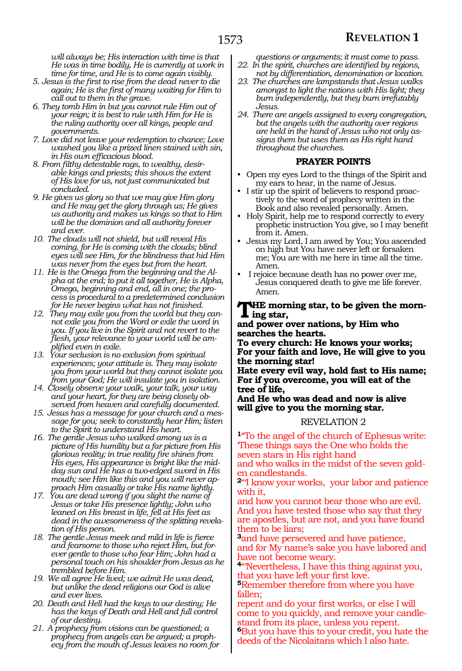*will always be; His interaction with time is that He was in time bodily, He is currently at work in time for time, and He is to come again visibly.*

- *5. Jesus is the first to rise from the dead never to die again; He is the first of many waiting for Him to call out to them in the grave.*
- *6. They tomb Him in but you cannot rule Him out of your reign; it is best to rule with Him for He is the ruling authority over all kings, people and governments.*
- *7. Love did not leave your redemption to chance; Love washed you like a prized linen stained with sin, in His own efficacious blood.*
- *8. From filthy detestable rags, to wealthy, desirable kings and priests; this shows the extent of His love for us, not just communicated but concluded.*
- *9. He gives us glory so that we may give Him glory and He may get the glory through us; He gives us authority and makes us kings so that to Him will be the dominion and all authority forever and ever.*
- *10. The clouds will not shield, but will reveal His coming, for He is coming with the clouds; blind eyes will see Him, for the blindness that hid Him was never from the eyes but from the heart.*
- *11. He is the Omega from the beginning and the Alpha at the end; to put it all together, He is Alpha, Omega, beginning and end, all in one; the process is procedural to a predetermined conclusion for He never begins what has not finished.*
- *12. They may exile you from the world but they cannot exile you from the Word or exile the word in you. If you live in the Spirit and not revert to the flesh, your relevance to your world will be amplified even in exile.*
- *13. Your seclusion is no exclusion from spiritual experiences; your attitude is. They may isolate you from your world but they cannot isolate you from your God; He will insulate you in isolation.*
- *14. Closely observe your walk, your talk, your way and your heart, for they are being closely observed from heaven and carefully documented.*
- *15. Jesus has a message for your church and a message for you; seek to constantly hear Him; listen to the Spirit to understand His heart.*
- *16. The gentle Jesus who walked among us is a picture of His humility but a far picture from His glorious reality; in true reality fire shines from His eyes, His appearance is bright like the midday sun and He has a two-edged sword in His mouth; see Him like this and you will never approach Him casually or take His name lightly.*
- *17. You are dead wrong if you slight the name of Jesus or take His presence lightly; John who leaned on His breast in life, fell at His feet as dead in the awesomeness of the splitting revelation of His person.*
- *18. The gentle Jesus meek and mild in life is fierce and fearsome to those who reject Him, but forever gentle to those who fear Him; John had a personal touch on his shoulder from Jesus as he trembled before Him.*
- *19. We all agree He lived; we admit He was dead, but unlike the dead religions our God is alive and ever lives.*
- *20. Death and Hell had the keys to our destiny; He has the keys of Death and Hell and full control of our destiny.*
- *21. A prophecy from visions can be questioned; a prophecy from angels can be argued; a prophecy from the mouth of Jesus leaves no room for*
- *questions or arguments; it must come to pass. 22. In the spirit, churches are identified by regions,*
- *not by differentiation, denomination or location. 23. The churches are lampstands that Jesus walks amongst to light the nations with His light; they burn independently, but they burn irrefutably Jesus.*
- *24. There are angels assigned to every congregation, but the angels with the authority over regions are held in the hand of Jesus who not only assigns them but uses them as His right hand throughout the churches.*

## **PRAYER POINTS**

- Open my eyes Lord to the things of the Spirit and my ears to hear, in the name of Jesus.
- I stir up the spirit of believers to respond proactively to the word of prophecy written in the Book and also revealed personally. Amen.
- Holy Spirit, help me to respond correctly to every prophetic instruction You give, so I may benefit from it. Amen.
- Jesus my Lord, I am awed by You; You ascended on high but You have never left or forsaken me; You are with me here in time all the time. Amen.
- I rejoice because death has no power over me, Jesus conquered death to give me life forever. Amen.

**The morning star, to be given the morning star,**

#### **and power over nations, by Him who searches the hearts.**

**To every church: He knows your works; For your faith and love, He will give to you the morning star!**

**Hate every evil way, hold fast to His name; For if you overcome, you will eat of the tree of life,**

**And He who was dead and now is alive will give to you the morning star.**

#### REVELATION 2

**<sup>1</sup>**"To the angel of the church of Ephesus write: 'These things says the One who holds the seven stars in His right hand

and who walks in the midst of the seven golden candlestands.

**<sup>2</sup>**"'I know your works, your labor and patience with it,

and how you cannot bear those who are evil. And you have tested those who say that they are apostles, but are not, and you have found them to be liars;

**<sup>3</sup>**and have persevered and have patience, and for My name's sake you have labored and have not become weary.

**<sup>4</sup>**"'Nevertheless, I have this thing against you, that you have left your first love.

**<sup>5</sup>**Remember therefore from where you have fallen;

repent and do your first works, or else I will come to you quickly, and remove your candlestand from its place, unless you repent. **<sup>6</sup>**But you have this to your credit, you hate the deeds of the Nicolaitans which I also hate.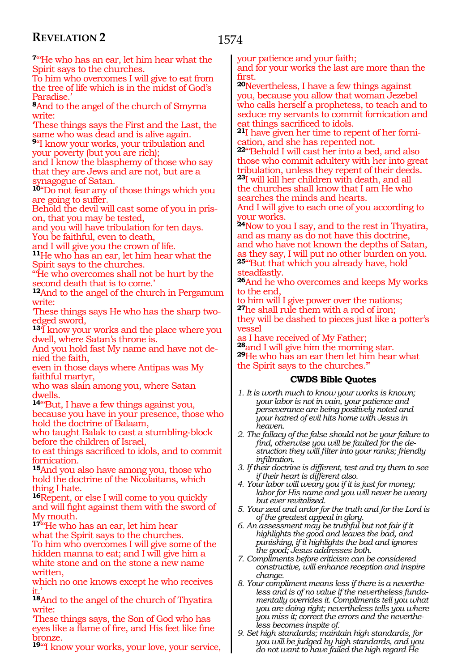**<sup>7</sup>**"'He who has an ear, let him hear what the Spirit says to the churches.

To him who overcomes I will give to eat from the tree of life which is in the midst of God's Paradise.'

**<sup>8</sup>**And to the angel of the church of Smyrna write:

'These things says the First and the Last, the same who was dead and is alive again.

**<sup>9</sup>**"I know your works, your tribulation and your poverty (but you are rich);

and I know the blasphemy of those who say that they are Jews and are not, but are a synagogue of Satan.

**<sup>10</sup>**"Do not fear any of those things which you are going to suffer.

Behold the devil will cast some of you in prison, that you may be tested,

and you will have tribulation for ten days. You be faithful, even to death,

and I will give you the crown of life.

**<sup>11</sup>**He who has an ear, let him hear what the Spirit says to the churches.

"'He who overcomes shall not be hurt by the second death that is to come.'

**<sup>12</sup>**And to the angel of the church in Pergamum write:

'These things says He who has the sharp twoedged sword,

**<sup>13</sup>**'I know your works and the place where you dwell, where Satan's throne is.

And you hold fast My name and have not denied the faith,

even in those days where Antipas was My faithful martyr,

who was slain among you, where Satan dwells.

14"But, I have a few things against you, because you have in your presence, those who hold the doctrine of Balaam,

who taught Balak to cast a stumbling-block before the children of Israel,

to eat things sacrificed to idols, and to commit fornication.

**<sup>15</sup>**And you also have among you, those who hold the doctrine of the Nicolaitans, which thing I hate.

**<sup>16</sup>**Repent, or else I will come to you quickly and will fight against them with the sword of My mouth.

**<sup>17</sup>**"'He who has an ear, let him hear what the Spirit says to the churches. To him who overcomes I will give some of the hidden manna to eat; and I will give him a white stone and on the stone a new name written,

which no one knows except he who receives it.'

**<sup>18</sup>**And to the angel of the church of Thyatira write:

'These things says, the Son of God who has eyes like a flame of fire, and His feet like fine bronze.

19"<sup>I</sup> know your works, your love, your service,

your patience and your faith;

and for your works the last are more than the first.

**<sup>20</sup>**Nevertheless, I have a few things against you, because you allow that woman Jezebel who calls herself a prophetess, to teach and to seduce my servants to commit fornication and eat things sacrificed to idols.

**21**I have given her time to repent of her forniation, and she has repented not.

**<sup>22</sup>**"'Behold I will cast her into a bed, and also those who commit adultery with her into great tribulation, unless they repent of their deeds. **<sup>23</sup>**I will kill her children with death, and all the churches shall know that I am He who

searches the minds and hearts.

And I will give to each one of you according to your works.

**<sup>24</sup>**Now to you I say, and to the rest in Thyatira, and as many as do not have this doctrine, and who have not known the depths of Satan, as they say, I will put no other burden on you. **<sup>25</sup>**"'But that which you already have, hold steadfastly.

**<sup>26</sup>**And he who overcomes and keeps My works to the end,

to him will I give power over the nations; **<sup>27</sup>**he shall rule them with a rod of iron; they will be dashed to pieces just like a potter's vessel

as I have received of My Father;<br> $^{28}\!$  and I will give him the morning star.

**29**He who has an ear then let him hear what the Spirit says to the churches.'"

- *1. It is worth much to know your works is known; your labor is not in vain, your patience and perseverance are being positively noted and your hatred of evil hits home with Jesus in heaven.*
- *2. The fallacy of the false should not be your failure to find, otherwise you will be faulted for the destruction they will filter into your ranks; friendly infiltration.*
- *3. If their doctrine is different, test and try them to see if their heart is different also.*
- *4. Your labor will weary you if it is just for money; labor for His name and you will never be weary but ever revitalized.*
- *5. Your zeal and ardor for the truth and for the Lord is of the greatest appeal in glory.*
- *6. An assessment may be truthful but not fair if it highlights the good and leaves the bad, and punishing, if it highlights the bad and ignores the good; Jesus addresses both.*
- *7. Compliments before criticism can be considered constructive, will enhance reception and inspire change.*
- *8. Your compliment means less if there is a nevertheless and is of no value if the nevertheless fundamentally overrides it. Compliments tell you what you are doing right; nevertheless tells you where you miss it; correct the errors and the nevertheless becomes inspite of.*
- *9. Set high standards; maintain high standards, for you will be judged by high standards, and you do not want to have failed the high regard He*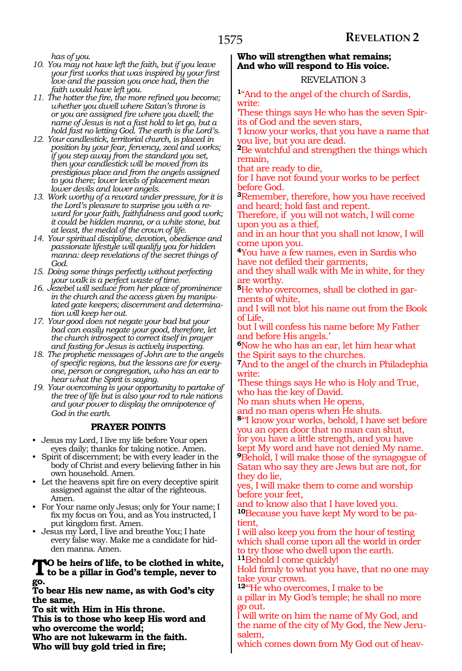*has of you.*

- *10. You may not have left the faith, but if you leave your first works that was inspired by your first love and the passion you once had, then the faith would have left you.*
- *11. The hotter the fire, the more refined you become; whether you dwell where Satan's throne is or you are assigned fire where you dwell; the name of Jesus is not a fast hold to let go, but a hold fast no letting God. The earth is the Lord's.*
- *12. Your candlestick, territorial church, is placed in position by your fear, fervency, zeal and works; if you step away from the standard you set, then your candlestick will be moved from its prestigious place and from the angels assigned to you there; lower levels of placement mean lower devils and lower angels.*
- *13. Work worthy of a reward under pressure, for it is the Lord's pleasure to surprise you with a reward for your faith, faithfulness and good work; it could be hidden manna, or a white stone, but at least, the medal of the crown of life.*
- *14. Your spiritual discipline, devotion, obedience and passionate lifestyle will qualify you for hidden manna: deep revelations of the secret things of God.*
- *15. Doing some things perfectly without perfecting your walk is a perfect waste of time.*
- *16. Jezebel will seduce from her place of prominence in the church and the access given by manipulated gate keepers; discernment and determination will keep her out.*
- *17. Your good does not negate your bad but your bad can easily negate your good, therefore, let the church introspect to correct itself in prayer and fasting for Jesus is actively inspecting.*
- *18. The prophetic messages of John are to the angels of specific regions, but the lessons are for everyone, person or congregation, who has an ear to hear what the Spirit is saying.*
- *19. Your overcoming is your opportunity to partake of the tree of life but is also your rod to rule nations and your power to display the omnipotence of God in the earth.*

## **PRAYER POINTS**

- Jesus my Lord, I live my life before Your open eyes daily; thanks for taking notice. Amen.
- Spirit of discernment; be with every leader in the body of Christ and every believing father in his own household. Amen.
- Let the heavens spit fire on every deceptive spirit assigned against the altar of the righteous. Amen.
- For Your name only Jesus; only for Your name; I fix my focus on You, and as You instructed, I put kingdom first. Amen.
- Jesus my Lord, I live and breathe You; I hate every false way. Make me a candidate for hidden manna. Amen.

## **To be heirs of life, to be clothed in white, to be a pillar in God's temple, never to go.**

**To bear His new name, as with God's city the same,**

**To sit with Him in His throne.** 

**This is to those who keep His word and who overcome the world;**

**Who are not lukewarm in the faith.**

**Who will buy gold tried in fire;**

## **Who will strengthen what remains; And who will respond to His voice.**

## REVELATION 3

**<sup>1</sup>**"And to the angel of the church of Sardis, write:

'These things says He who has the seven Spirits of God and the seven stars,

'I know your works, that you have a name that you live, but you are dead.

**<sup>2</sup>**Be watchful and strengthen the things which remain,

that are ready to die,

for I have not found your works to be perfect before God.

**<sup>3</sup>**Remember, therefore, how you have received and heard; hold fast and repent.

Therefore, if you will not watch, I will come upon you as a thief,

and in an hour that you shall not know, I will come upon you.

**<sup>4</sup>**You have a few names, even in Sardis who have not defiled their garments,

and they shall walk with Me in white, for they are worthy.

**<sup>5</sup>**He who overcomes, shall be clothed in gar- ments of white,

and I will not blot his name out from the Book of Life,

but I will confess his name before My Father and before His angels.'

**<sup>6</sup>**Now he who has an ear, let him hear what the Spirit says to the churches.

**<sup>7</sup>**And to the angel of the church in Philadephia write:

'These things says He who is Holy and True, who has the key of David.

No man shuts when He opens,

and no man opens when He shuts.

**<sup>8</sup>**"'I know your works, behold, I have set before you an open door that no man can shut, for you have a little strength, and you have kept My word and have not denied My name. **<sup>9</sup>**Behold, I will make those of the synagogue of Satan who say they are Jews but are not, for they do lie,

yes, I will make them to come and worship before your feet,

and to know also that I have loved you. **10**Because you have kept My word to be patient,

I will also keep you from the hour of testing which shall come upon all the world in order to try those who dwell upon the earth. **<sup>11</sup>**Behold I come quickly!

Hold firmly to what you have, that no one may take your crown.

**<sup>12</sup>**"'He who overcomes, I make to be a pillar in My God's temple; he shall no more go out.

I will write on him the name of My God, and the name of the city of My God, the New Jerusalem,

which comes down from My God out of heav-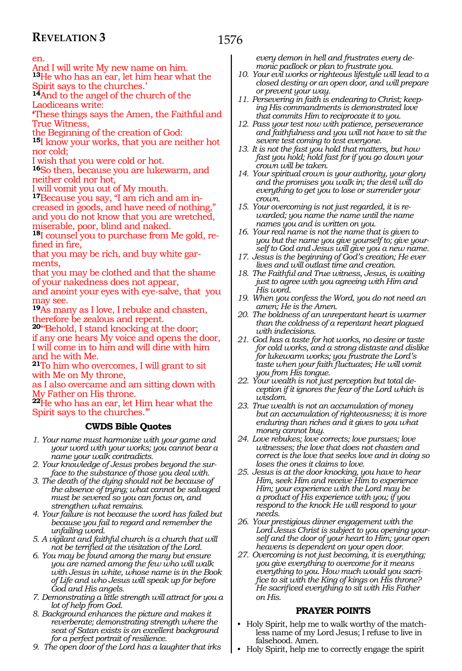#### en.

And I will write My new name on him.

**<sup>13</sup>**He who has an ear, let him hear what the Spirit says to the churches.'

**<sup>14</sup>**And to the angel of the church of the Laodiceans write:

**'**These things says the Amen, the Faithful and True Witness,

the Beginning of the creation of God:

**<sup>15</sup>**I know your works, that you are neither hot nor cold;

I wish that you were cold or hot.

**<sup>16</sup>**So then, because you are lukewarm, and neither cold nor hot,

I will vomit you out of My mouth.

**17**Because you say, "I am rich and am increased in goods, and have need of nothing," and you do not know that you are wretched, miserable, poor, blind and naked.

**18**I counsel you to purchase from Me gold, refined in fire,

that you may be rich, and buy white garments,

that you may be clothed and that the shame of your nakedness does not appear,

and anoint your eyes with eye-salve, that you may see.

**<sup>19</sup>**As many as I love, I rebuke and chasten, therefore be zealous and repent.

**<sup>20</sup>**"'Behold, I stand knocking at the door; if any one hears My voice and opens the door, I will come in to him and will dine with him and he with Me.

**<sup>21</sup>**To him who overcomes, I will grant to sit with Me on My throne,

as I also overcame and am sitting down with My Father on His throne.

**<sup>22</sup>**He who has an ear, let Him hear what the Spirit says to the churches.'"

## **CWDS Bible Quotes**

- *1. Your name must harmonize with your game and your word with your works; you cannot bear a name your walk contradicts.*
- *2. Your knowledge of Jesus probes beyond the surface to the substance of those you deal with.*
- *3. The death of the dying should not be because of the absence of trying; what cannot be salvaged must be severed so you can focus on, and strengthen what remains.*
- *4. Your failure is not because the word has failed but because you fail to regard and remember the unfailing word.*
- *5. A vigilant and faithful church is a church that will not be terrified at the visitation of the Lord.*
- *6. You may be found among the many but ensure you are named among the few who will walk with Jesus in white, whose name is in the Book of Life and who Jesus will speak up for before God and His angels.*
- *7. Demonstrating a little strength will attract for you a lot of help from God.*
- *8. Background enhances the picture and makes it reverberate; demonstrating strength where the seat of Satan exists is an excellent background for a perfect portrait of resilience.*
- *9. The open door of the Lord has a laughter that irks*

*every demon in hell and frustrates every demonic padlock or plan to frustrate you.*

- *10. Your evil works or righteous lifestyle will lead to a closed destiny or an open door, and will prepare or prevent your way.*
- *11. Persevering in faith is endearing to Christ; keeping His commandments is demonstrated love that commits Him to reciprocate it to you.*
- *12. Pass your test now with patience, perseverance and faithfulness and you will not have to sit the severe test coming to test everyone.*
- *13. It is not the fast you hold that matters, but how fast you hold; hold fast for if you go down your crown will be taken.*
- *14. Your spiritual crown is your authority, your glory and the promises you walk in; the devil will do everything to get you to lose or surrender your crown.*
- *15. Your overcoming is not just regarded, it is rewarded; you name the name until the name names you and is written on you.*
- *16. Your real name is not the name that is given to you but the name you give yourself to; give yourself to God and Jesus will give you a new name.*
- *17. Jesus is the beginning of God's creation; He ever lives and will outlast time and creation.*
- *18. The Faithful and True witness, Jesus, is waiting just to agree with you agreeing with Him and His word.*
- *19. When you confess the Word, you do not need an amen; He is the Amen.*
- *20. The boldness of an unrepentant heart is warmer than the coldness of a repentant heart plagued with indecisions.*
- *21. God has a taste for hot works, no desire or taste for cold works, and a strong distaste and dislike for lukewarm works; you frustrate the Lord's taste when your faith fluctuates; He will vomit you from His tongue.*
- *22. Your wealth is not just perception but total deception if it ignores the fear of the Lord which is wisdom.*
- *23. True wealth is not an accumulation of money but an accumulation of righteousness; it is more enduring than riches and it gives to you what money cannot buy.*
- *24. Love rebukes; love corrects; love pursues; love witnesses; the love that does not chasten and correct is the love that seeks love and in doing so loses the ones it claims to love.*
- *25. Jesus is at the door knocking, you have to hear Him, seek Him and receive Him to experience Him; your experience with the Lord may be a product of His experience with you; if you respond to the knock He will respond to your needs.*
- *26. Your prestigious dinner engagement with the Lord Jesus Christ is subject to you opening yourself and the door of your heart to Him; your open heavens is dependent on your open door.*
- *27. Overcoming is not just becoming, it is everything; you give everything to overcome for it means everything to you. How much would you sacrifice to sit with the King of kings on His throne? He sacrificed everything to sit with His Father on His.*

## **PRAYER POINTS**

- Holy Spirit, help me to walk worthy of the matchless name of my Lord Jesus; I refuse to live in falsehood. Amen.
- Holy Spirit, help me to correctly engage the spirit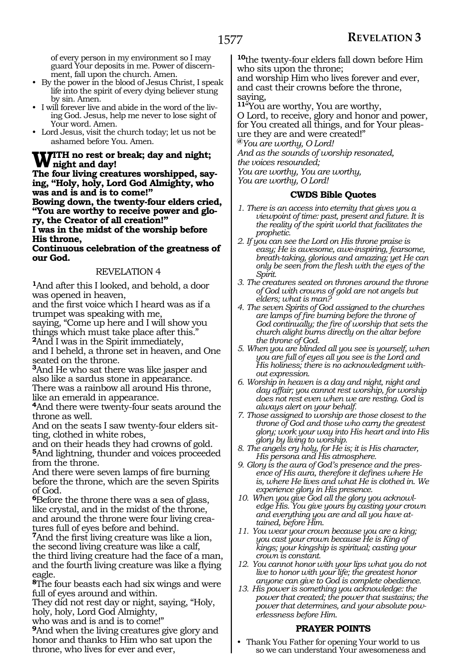of every person in my environment so I may guard Your deposits in me. Power of discernment, fall upon the church. Amen.

- By the power in the blood of Jesus Christ, I speak life into the spirit of every dying believer stung by sin. Amen.
- I will forever live and abide in the word of the living God. Jesus, help me never to lose sight of Your word. Amen.
- Lord Jesus, visit the church today; let us not be ashamed before You. Amen.

## **With no rest or break; day and night; night and day!**

**The four living creatures worshipped, say- ing, "Holy, holy, Lord God Almighty, who was and is and is to come!"** 

**Bowing down, the twenty-four elders cried, "You are worthy to receive power and glo- ry, the Creator of all creation!"**

**I was in the midst of the worship before His throne,**

#### **Continuous celebration of the greatness of our God.**

## REVELATION 4

**<sup>1</sup>**And after this I looked, and behold, a door was opened in heaven,

and the first voice which I heard was as if a trumpet was speaking with me,

saying, "Come up here and I will show you things which must take place after this."

**<sup>2</sup>**And I was in the Spirit immediately, and I beheld, a throne set in heaven, and One seated on the throne.

**<sup>3</sup>**And He who sat there was like jasper and also like a sardus stone in appearance. There was a rainbow all around His throne, like an emerald in appearance.

**<sup>4</sup>**And there were twenty-four seats around the throne as well.

And on the seats I saw twenty-four elders sitting, clothed in white robes,

and on their heads they had crowns of gold. **<sup>5</sup>**And lightning, thunder and voices proceeded from the throne.

And there were seven lamps of fire burning before the throne, which are the seven Spirits of God.

**<sup>6</sup>**Before the throne there was a sea of glass, like crystal, and in the midst of the throne, and around the throne were four living creatures full of eyes before and behind.

**<sup>7</sup>**And the first living creature was like a lion, the second living creature was like a calf, the third living creature had the face of a man, and the fourth living creature was like a flying eagle.

**<sup>8</sup>**The four beasts each had six wings and were full of eyes around and within.

They did not rest day or night, saying, "Holy, holy, holy, Lord God Almighty,

who was and is and is to come!"

**<sup>9</sup>**And when the living creatures give glory and honor and thanks to Him who sat upon the throne, who lives for ever and ever,

**<sup>10</sup>**the twenty-four elders fall down before Him who sits upon the throne;

and worship Him who lives forever and ever, and cast their crowns before the throne, saying,

**<sup>11</sup>**"You are worthy, You are worthy,

O Lord, to receive, glory and honor and power, for You created all things, and for Your pleasure they are and were created!"

**@***You are worthy, O Lord!*

*And as the sounds of worship resonated,*

*the voices resounded;*

*You are worthy, You are worthy,* 

*You are worthy, O Lord!*

## **CWDS Bible Quotes**

- *1. There is an access into eternity that gives you a viewpoint of time: past, present and future. It is the reality of the spirit world that facilitates the prophetic.*
- *2. If you can see the Lord on His throne praise is easy; He is awesome, awe-inspiring, fearsome, breath-taking, glorious and amazing; yet He can only be seen from the flesh with the eyes of the Spirit.*
- *3. The creatures seated on thrones around the throne of God with crowns of gold are not angels but elders; what is man?*
- *4. The seven Spirits of God assigned to the churches are lamps of fire burning before the throne of God continually; the fire of worship that sets the church alight burns directly on the altar before the throne of God.*
- *5. When you are blinded all you see is yourself, when you are full of eyes all you see is the Lord and His holiness; there is no acknowledgment without expression.*
- *6. Worship in heaven is a day and night, night and day affair; you cannot rest worship, for worship does not rest even when we are resting. God is always alert on your behalf.*
- *7. Those assigned to worship are those closest to the throne of God and those who carry the greatest glory; work your way into His heart and into His glory by living to worship.*
- *8. The angels cry holy, for He is; it is His character, His persona and His atmosphere.*
- *9. Glory is the aura of God's presence and the presence of His aura, therefore it defines where He is, where He lives and what He is clothed in. We experience glory in His presence.*
- *10. When you give God all the glory you acknowledge His. You give yours by casting your crown and everything you are and all you have attained, before Him.*
- *11. You wear your crown because you are a king; you cast your crown because He is King of kings; your kingship is spiritual; casting your crown is constant.*
- *12. You cannot honor with your lips what you do not live to honor with your life; the greatest honor anyone can give to God is complete obedience.*
- *13. His power is something you acknowledge: the power that created; the power that sustains; the power that determines, and your absolute powerlessness before Him.*

## **PRAYER POINTS**

• Thank You Father for opening Your world to us so we can understand Your awesomeness and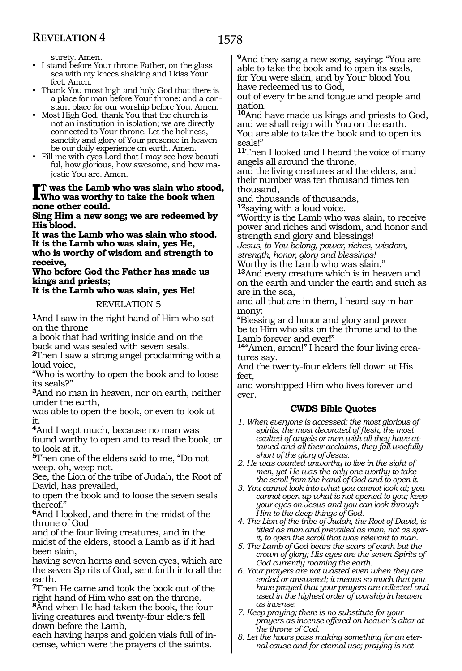surety. Amen.

- I stand before Your throne Father, on the glass sea with my knees shaking and I kiss Your feet. Amen.
- Thank You most high and holy God that there is a place for man before Your throne; and a constant place for our worship before You. Amen.
- Most High God, thank You that the church is not an institution in isolation; we are directly connected to Your throne. Let the holiness, sanctity and glory of Your presence in heaven be our daily experience on earth. Amen.
- Fill me with eyes Lord that I may see how beautiful, how glorious, how awesome, and how majestic You are. Amen.

#### **I**I was the Lamb v<br>
none other could. **t was the Lamb who was slain who stood, Who was worthy to take the book when**

**Sing Him a new song; we are redeemed by His blood.** 

**It was the Lamb who was slain who stood. It is the Lamb who was slain, yes He, who is worthy of wisdom and strength to receive,**

**Who before God the Father has made us kings and priests;**

## **It is the Lamb who was slain, yes He!**

## REVELATION 5

**<sup>1</sup>**And I saw in the right hand of Him who sat on the throne

a book that had writing inside and on the back and was sealed with seven seals.

**<sup>2</sup>**Then I saw a strong angel proclaiming with a loud voice,

"Who is worthy to open the book and to loose its seals?"

**<sup>3</sup>**And no man in heaven, nor on earth, neither under the earth,

was able to open the book, or even to look at it.

**<sup>4</sup>**And I wept much, because no man was

found worthy to open and to read the book, or to look at it.

**<sup>5</sup>**Then one of the elders said to me, "Do not weep, oh, weep not.

See, the Lion of the tribe of Judah, the Root of David, has prevailed,

to open the book and to loose the seven seals thereof."

**<sup>6</sup>**And I looked, and there in the midst of the throne of God

and of the four living creatures, and in the midst of the elders, stood a Lamb as if it had been slain,

having seven horns and seven eyes, which are the seven Spirits of God, sent forth into all the earth.

**<sup>7</sup>**Then He came and took the book out of the right hand of Him who sat on the throne.

**<sup>8</sup>**And when He had taken the book, the four living creatures and twenty-four elders fell down before the Lamb,

each having harps and golden vials full of incense, which were the prayers of the saints.

**<sup>9</sup>**And they sang a new song, saying: "You are able to take the book and to open its seals, for You were slain, and by Your blood You have redeemed us to God,

out of every tribe and tongue and people and nation.

**<sup>10</sup>**And have made us kings and priests to God, and we shall reign with You on the earth. You are able to take the book and to open its seals!"

**<sup>11</sup>**Then I looked and I heard the voice of many angels all around the throne,

and the living creatures and the elders, and their number was ten thousand times ten thousand,

and thousands of thousands,

**<sup>12</sup>**saying with a loud voice,

"Worthy is the Lamb who was slain, to receive power and riches and wisdom, and honor and strength and glory and blessings!

*Jesus, to You belong, power, riches, wisdom, strength, honor, glory and blessings!* 

Worthy is the Lamb who was slain."

**<sup>13</sup>**And every creature which is in heaven and on the earth and under the earth and such as are in the sea,

and all that are in them, I heard say in har- mony:

"Blessing and honor and glory and power be to Him who sits on the throne and to the Lamb forever and ever!"

**<sup>14</sup>**"Amen, amen!" I heard the four living crea- tures say.

And the twenty-four elders fell down at His feet,

and worshipped Him who lives forever and ever.

- *1. When everyone is accessed: the most glorious of spirits, the most decorated of flesh, the most exalted of angels or men with all they have attained and all their acclaims, they fall woefully short of the glory of Jesus.*
- *2. He was counted unworthy to live in the sight of men, yet He was the only one worthy to take the scroll from the hand of God and to open it.*
- *3. You cannot look into what you cannot look at; you cannot open up what is not opened to you; keep your eyes on Jesus and you can look through Him to the deep things of God.*
- *4. The Lion of the tribe of Judah, the Root of David, is titled as man and prevailed as man, not as spirit, to open the scroll that was relevant to man.*
- *5. The Lamb of God bears the scars of earth but the crown of glory; His eyes are the seven Spirits of God currently roaming the earth.*
- *6. Your prayers are not wasted even when they are ended or answered; it means so much that you have prayed that your prayers are collected and used in the highest order of worship in heaven as incense.*
- *7. Keep praying; there is no substitute for your prayers as incense offered on heaven's altar at the throne of God.*
- *8. Let the hours pass making something for an eternal cause and for eternal use; praying is not*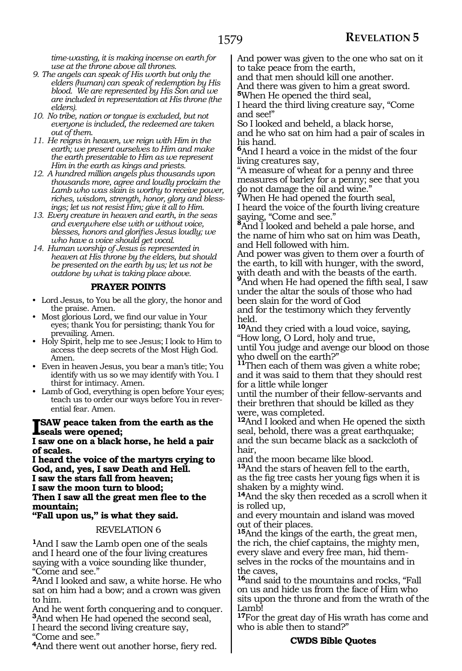*time-wasting, it is making incense on earth for use at the throne above all thrones.*

- *9. The angels can speak of His worth but only the elders (human) can speak of redemption by His blood. We are represented by His Son and we are included in representation at His throne (the elders).*
- *10. No tribe, nation or tongue is excluded, but not everyone is included, the redeemed are taken out of them.*
- *11. He reigns in heaven, we reign with Him in the earth; we present ourselves to Him and make the earth presentable to Him as we represent Him in the earth as kings and priests.*
- *12. A hundred million angels plus thousands upon thousands more, agree and loudly proclaim the Lamb who was slain is worthy to receive power, riches, wisdom, strength, honor, glory and blessings; let us not resist Him; give it all to Him.*
- *13. Every creature in heaven and earth, in the seas and everywhere else with or without voice, blesses, honors and glorifies Jesus loudly; we who have a voice should get vocal.*
- *14. Human worship of Jesus is represented in heaven at His throne by the elders, but should be presented on the earth by us; let us not be outdone by what is taking place above.*

## **PRAYER POINTS**

- Lord Jesus, to You be all the glory, the honor and the praise. Amen.
- Most glorious Lord, we find our value in Your eyes; thank You for persisting; thank You for prevailing. Amen.
- Holy Spirit, help me to see Jesus; I look to Him to access the deep secrets of the Most High God. Amen.
- Even in heaven Jesus, you bear a man's title; You identify with us so we may identify with You. I thirst for intimacy. Amen.
- Lamb of God, everything is open before Your eyes; teach us to order our ways before You in reverential fear. Amen.

## **ISAW peace taken from the earth as the**<br> **Learn and an ablack home, he held a noin**

**I saw one on a black horse, he held a pair of scales.**

**I heard the voice of the martyrs crying to God, and, yes, I saw Death and Hell. I saw the stars fall from heaven; I saw the moon turn to blood; Then I saw all the great men flee to the mountain;**

## **"Fall upon us," is what they said.**

REVELATION 6

**<sup>1</sup>**And I saw the Lamb open one of the seals and I heard one of the four living creatures saying with a voice sounding like thunder, "Come and see."

**<sup>2</sup>**And I looked and saw, a white horse. He who sat on him had a bow; and a crown was given to him.

And he went forth conquering and to conquer. **<sup>3</sup>**And when He had opened the second seal, I heard the second living creature say, "Come and see."

**<sup>4</sup>**And there went out another horse, fiery red.

And power was given to the one who sat on it to take peace from the earth,

and that men should kill one another.

And there was given to him a great sword. **<sup>5</sup>**When He opened the third seal,

I heard the third living creature say, "Come and see!"

So I looked and beheld, a black horse,

and he who sat on him had a pair of scales in his hand.

**<sup>6</sup>**And I heard a voice in the midst of the four living creatures say,

"A measure of wheat for a penny and three measures of barley for a penny; see that you do not damage the oil and wine."

**<sup>7</sup>**When He had opened the fourth seal, I heard the voice of the fourth living creature saying, "Come and see."

**<sup>8</sup>**And I looked and beheld a pale horse, and the name of him who sat on him was Death, and Hell followed with him.

And power was given to them over a fourth of the earth, to kill with hunger, with the sword, with death and with the beasts of the earth.<br> $9<sub>And</sub>$  when  $H_2$  is  $1<sub>z</sub>$ . **<sup>9</sup>**And when He had opened the fifth seal, I saw

under the altar the souls of those who had been slain for the word of God

and for the testimony which they fervently held.

**<sup>10</sup>**And they cried with a loud voice, saying, "How long, O Lord, holy and true,

until You judge and avenge our blood on those who dwell on the earth?"

**<sup>11</sup>**Then each of them was given a white robe; and it was said to them that they should rest for a little while longer

until the number of their fellow-servants and their brethren that should be killed as they were, was completed.

**<sup>12</sup>**And I looked and when He opened the sixth seal, behold, there was a great earthquake; and the sun became black as a sackcloth of hair,

and the moon became like blood.

**<sup>13</sup>**And the stars of heaven fell to the earth, as the fig tree casts her young figs when it is shaken by a mighty wind.

**<sup>14</sup>**And the sky then receded as a scroll when it is rolled up,

and every mountain and island was moved out of their places.

**<sup>15</sup>**And the kings of the earth, the great men, the rich, the chief captains, the mighty men, every slave and every free man, hid themselves in the rocks of the mountains and in the caves,

**<sup>16</sup>**and said to the mountains and rocks, "Fall on us and hide us from the face of Him who sits upon the throne and from the wrath of the Lamb!

**<sup>17</sup>**For the great day of His wrath has come and who is able then to stand?"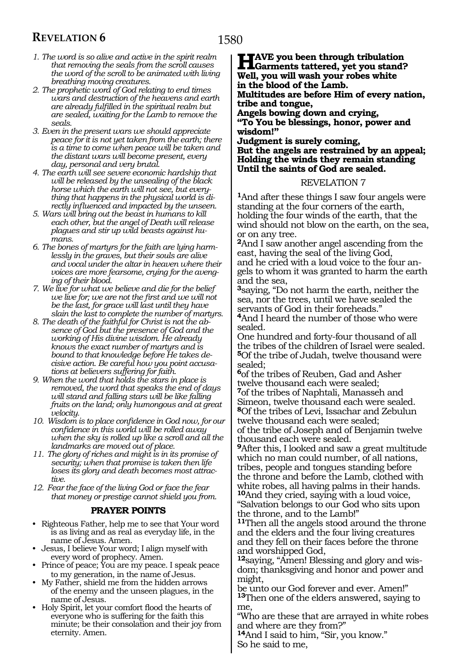- *1. The word is so alive and active in the spirit realm that removing the seals from the scroll causes the word of the scroll to be animated with living breathing moving creatures.*
- *2. The prophetic word of God relating to end times wars and destruction of the heavens and earth are already fulfilled in the spiritual realm but are sealed, waiting for the Lamb to remove the seals.*
- *3. Even in the present wars we should appreciate peace for it is not yet taken from the earth; there is a time to come when peace will be taken and the distant wars will become present, every day, personal and very brutal.*
- *4. The earth will see severe economic hardship that will be released by the unsealing of the black horse which the earth will not see, but everything that happens in the physical world is directly influenced and impacted by the unseen.*
- *5. Wars will bring out the beast in humans to kill each other, but the angel of Death will release plagues and stir up wild beasts against humans.*
- *6. The bones of martyrs for the faith are lying harmlessly in the graves, but their souls are alive and vocal under the altar in heaven where their voices are more fearsome, crying for the avenging of their blood.*
- *7. We live for what we believe and die for the belief we live for; we are not the first and we will not be the last, for grace will last until they have slain the last to complete the number of martyrs.*
- *8. The death of the faithful for Christ is not the absence of God but the presence of God and the working of His divine wisdom. He already knows the exact number of martyrs and is bound to that knowledge before He takes decisive action. Be careful how you point accusations at believers suffering for faith.*
- *9. When the word that holds the stars in place is removed, the word that speaks the end of days will stand and falling stars will be like falling fruits on the land; only humongous and at great velocity.*
- *10. Wisdom is to place confidence in God now, for our confidence in this world will be rolled away when the sky is rolled up like a scroll and all the landmarks are moved out of place.*
- *11. The glory of riches and might is in its promise of security; when that promise is taken then life loses its glory and death becomes most attractive.*
- *12. Fear the face of the living God or face the fear that money or prestige cannot shield you from.*

## **PRAYER POINTS**

- Righteous Father, help me to see that Your word is as living and as real as everyday life, in the name of Jesus. Amen.
- Jesus, I believe Your word; I align myself with every word of prophecy. Amen.
- Prince of peace; You are my peace. I speak peace to my generation, in the name of Jesus.
- My Father, shield me from the hidden arrows of the enemy and the unseen plagues, in the name of Jesus.
- Holy Spirit, let your comfort flood the hearts of everyone who is suffering for the faith this minute; be their consolation and their joy from eternity. Amen.

**HAVE** you been through tribulation<br> **Have you stand?**<br>
Well you will week you nakes white **Well, you will wash your robes white in the blood of the Lamb. Multitudes are before Him of every nation, tribe and tongue, Angels bowing down and crying, "To You be blessings, honor, power and wisdom!" Judgment is surely coming,** 

**But the angels are restrained by an appeal; Holding the winds they remain standing Until the saints of God are sealed.**

#### REVELATION 7

**<sup>1</sup>**And after these things I saw four angels were standing at the four corners of the earth, holding the four winds of the earth, that the wind should not blow on the earth, on the sea, or on any tree.

**<sup>2</sup>**And I saw another angel ascending from the east, having the seal of the living God, and he cried with a loud voice to the four angels to whom it was granted to harm the earth and the sea,

**<sup>3</sup>**saying, "Do not harm the earth, neither the sea, nor the trees, until we have sealed the servants of God in their foreheads."

**<sup>4</sup>**And I heard the number of those who were sealed.

One hundred and forty-four thousand of all the tribes of the children of Israel were sealed. **<sup>5</sup>**Of the tribe of Judah, twelve thousand were sealed;

**<sup>6</sup>**of the tribes of Reuben, Gad and Asher twelve thousand each were sealed; **<sup>7</sup>**of the tribes of Naphtali, Manasseh and Simeon, twelve thousand each were sealed.

**<sup>8</sup>**Of the tribes of Levi, Issachar and Zebulun twelve thousand each were sealed;

of the tribe of Joseph and of Benjamin twelve thousand each were sealed.

**<sup>9</sup>**After this, I looked and saw a great multitude which no man could number, of all nations, tribes, people and tongues standing before the throne and before the Lamb, clothed with white robes, all having palms in their hands. **<sup>10</sup>**And they cried, saying with a loud voice, "Salvation belongs to our God who sits upon the throne, and to the Lamb!"

**<sup>11</sup>**Then all the angels stood around the throne and the elders and the four living creatures and they fell on their faces before the throne and worshipped God,

**12**saying, "Amen! Blessing and glory and wisdom; thanksgiving and honor and power and might,

be unto our God forever and ever. Amen!" **<sup>13</sup>**Then one of the elders answered, saying to me,

"Who are these that are arrayed in white robes and where are they from?"

**<sup>14</sup>**And I said to him, "Sir, you know." So he said to me,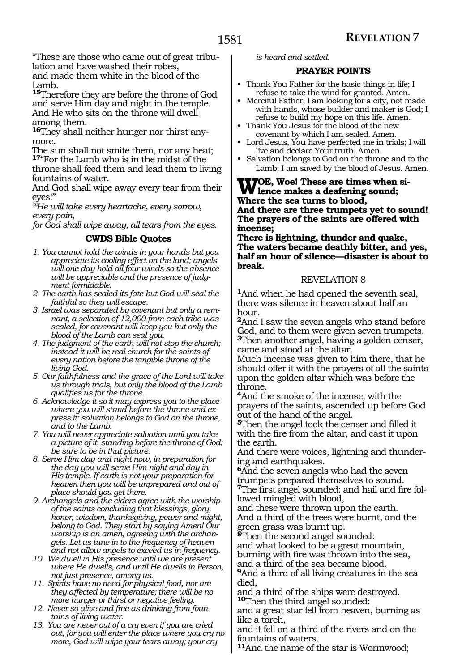"These are those who came out of great tribulation and have washed their robes, and made them white in the blood of the Lamb.

**<sup>15</sup>**Therefore they are before the throne of God and serve Him day and night in the temple. And He who sits on the throne will dwell among them.

**16**They shall neither hunger nor thirst anymore.

The sun shall not smite them, nor any heat; **<sup>17</sup>**"For the Lamb who is in the midst of the throne shall feed them and lead them to living fountains of water.

And God shall wipe away every tear from their eyes!"

*@He will take every heartache, every sorrow, every pain,*

*for God shall wipe away, all tears from the eyes.*

## **CWDS Bible Quotes**

- *1. You cannot hold the winds in your hands but you appreciate its cooling effect on the land; angels will one day hold all four winds so the absence will be appreciable and the presence of judgment formidable.*
- *2. The earth has sealed its fate but God will seal the faithful so they will escape.*
- *3. Israel was separated by covenant but only a remnant, a selection of 12,000 from each tribe was sealed, for covenant will keep you but only the blood of the Lamb can seal you.*
- *4. The judgment of the earth will not stop the church; instead it will be real church for the saints of every nation before the tangible throne of the living God.*
- *5. Our faithfulness and the grace of the Lord will take us through trials, but only the blood of the Lamb qualifies us for the throne.*
- *6. Acknowledge it so it may express you to the place where you will stand before the throne and express it: salvation belongs to God on the throne, and to the Lamb.*
- *7. You will never appreciate salvation until you take a picture of it, standing before the throne of God; be sure to be in that picture.*
- *8. Serve Him day and night now, in preparation for the day you will serve Him night and day in His temple. If earth is not your preparation for heaven then you will be unprepared and out of place should you get there.*
- *9. Archangels and the elders agree with the worship of the saints concluding that blessings, glory, honor, wisdom, thanksgiving, power and might, belong to God. They start by saying Amen! Our worship is an amen, agreeing with the archangels. Let us tune in to the frequency of heaven and not allow angels to exceed us in frequency.*
- *10. We dwell in His presence until we are present where He dwells, and until He dwells in Person, not just presence, among us.*
- *11. Spirits have no need for physical food, nor are they affected by temperature; there will be no more hunger or thirst or negative feeling.*
- *12. Never so alive and free as drinking from fountains of living water.*
- *13. You are never out of a cry even if you are cried out, for you will enter the place where you cry no more, God will wipe your tears away; your cry*

*is heard and settled.*

## **PRAYER POINTS**

- Thank You Father for the basic things in life; I refuse to take the wind for granted. Amen.
- Merciful Father, I am looking for a city, not made with hands, whose builder and maker is God; I refuse to build my hope on this life. Amen.
- Thank You Jesus for the blood of the new covenant by which I am sealed. Amen.
- Lord Jesus, You have perfected me in trials; I will live and declare Your truth. Amen.
- Salvation belongs to God on the throne and to the Lamb; I am saved by the blood of Jesus. Amen.

## **WOE, Woe! These are times when si-**<br>**Whene the see tyme to blood Where the sea turns to blood,**

**And there are three trumpets yet to sound! The prayers of the saints are offered with incense;**

**There is lightning, thunder and quake, The waters became deathly bitter, and yes, half an hour of silence—disaster is about to break.**

## REVELATION 8

**<sup>1</sup>**And when he had opened the seventh seal, there was silence in heaven about half an hour.

**<sup>2</sup>**And I saw the seven angels who stand before God, and to them were given seven trumpets. **<sup>3</sup>**Then another angel, having a golden censer, came and stood at the altar.

Much incense was given to him there, that he should offer it with the prayers of all the saints upon the golden altar which was before the throne.

**<sup>4</sup>**And the smoke of the incense, with the prayers of the saints, ascended up before God out of the hand of the angel.

**<sup>5</sup>**Then the angel took the censer and filled it with the fire from the altar, and cast it upon the earth.

And there were voices, lightning and thundering and earthquakes.

**<sup>6</sup>**And the seven angels who had the seven trumpets prepared themselves to sound. **7**The first angel sounded: and hail and fire followed mingled with blood,

and these were thrown upon the earth. And a third of the trees were burnt, and the green grass was burnt up.

**<sup>8</sup>**Then the second angel sounded:

and what looked to be a great mountain, burning with fire was thrown into the sea,

and a third of the sea became blood.

**<sup>9</sup>**And a third of all living creatures in the sea died,

and a third of the ships were destroyed. **<sup>10</sup>**Then the third angel sounded:

and a great star fell from heaven, burning as like a torch,

and it fell on a third of the rivers and on the fountains of waters.

**<sup>11</sup>**And the name of the star is Wormwood;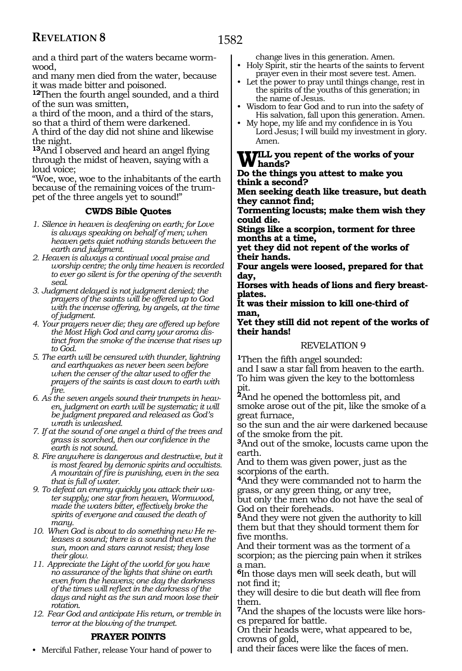and a third part of the waters became wormwood,

and many men died from the water, because it was made bitter and poisoned.

**<sup>12</sup>**Then the fourth angel sounded, and a third of the sun was smitten,

a third of the moon, and a third of the stars, so that a third of them were darkened.

A third of the day did not shine and likewise the night.

**<sup>13</sup>**And I observed and heard an angel flying through the midst of heaven, saying with a loud voice;

"Woe, woe, woe to the inhabitants of the earth because of the remaining voices of the trumpet of the three angels yet to sound!"

## **CWDS Bible Quotes**

- *1. Silence in heaven is deafening on earth; for Love is always speaking on behalf of men; when heaven gets quiet nothing stands between the earth and judgment.*
- *2. Heaven is always a continual vocal praise and worship centre; the only time heaven is recorded to ever go silent is for the opening of the seventh seal.*
- *3. Judgment delayed is not judgment denied; the prayers of the saints will be offered up to God with the incense offering, by angels, at the time of judgment.*
- *4. Your prayers never die; they are offered up before the Most High God and carry your aroma distinct from the smoke of the incense that rises up to God.*
- *5. The earth will be censured with thunder, lightning and earthquakes as never been seen before when the censer of the altar used to offer the prayers of the saints is cast down to earth with fire.*
- *6. As the seven angels sound their trumpets in heaven, judgment on earth will be systematic; it will be judgment prepared and released as God's wrath is unleashed.*
- *7. If at the sound of one angel a third of the trees and grass is scorched, then our confidence in the earth is not sound.*
- *8. Fire anywhere is dangerous and destructive, but it is most feared by demonic spirits and occultists. A mountain of fire is punishing, even in the sea that is full of water.*
- *9. To defeat an enemy quickly you attack their water supply; one star from heaven, Wormwood, made the waters bitter, effectively broke the spirits of everyone and caused the death of many.*
- *10. When God is about to do something new He releases a sound; there is a sound that even the sun, moon and stars cannot resist; they lose their glow.*
- *11. Appreciate the Light of the world for you have no assurance of the lights that shine on earth even from the heavens; one day the darkness of the times will reflect in the darkness of the days and night as the sun and moon lose their rotation.*
- *12. Fear God and anticipate His return, or tremble in terror at the blowing of the trumpet.*

## **PRAYER POINTS**

• Merciful Father, release Your hand of power to

change lives in this generation. Amen.

• Holy Spirit, stir the hearts of the saints to fervent prayer even in their most severe test. Amen.

- Let the power to pray until things change, rest in the spirits of the youths of this generation; in the name of Jesus.
- Wisdom to fear God and to run into the safety of His salvation, fall upon this generation. Amen.
- My hope, my life and my confidence in is You Lord Jesus; I will build my investment in glory. Amen.

## **Will you repent of the works of your hands?**

**Do the things you attest to make you think a second?**

**Men seeking death like treasure, but death they cannot find;**

**Tormenting locusts; make them wish they could die.**

**Stings like a scorpion, torment for three months at a time,**

**yet they did not repent of the works of their hands.**

**Four angels were loosed, prepared for that day,**

**Horses with heads of lions and fiery breastplates.**

**It was their mission to kill one-third of man,**

#### **Yet they still did not repent of the works of their hands!**

## REVELATION 9

**<sup>1</sup>**Then the fifth angel sounded:

and I saw a star fall from heaven to the earth. To him was given the key to the bottomless pit.

**<sup>2</sup>**And he opened the bottomless pit, and smoke arose out of the pit, like the smoke of a great furnace,

so the sun and the air were darkened because of the smoke from the pit.

**<sup>3</sup>**And out of the smoke, locusts came upon the earth.

And to them was given power, just as the scorpions of the earth.

**<sup>4</sup>**And they were commanded not to harm the grass, or any green thing, or any tree,

but only the men who do not have the seal of God on their foreheads.

**<sup>5</sup>**And they were not given the authority to kill them but that they should torment them for five months.

And their torment was as the torment of a scorpion; as the piercing pain when it strikes a man.

**<sup>6</sup>**In those days men will seek death, but will not find it;

they will desire to die but death will flee from them.

**7**And the shapes of the locusts were like horses prepared for battle.

On their heads were, what appeared to be, crowns of gold,

and their faces were like the faces of men.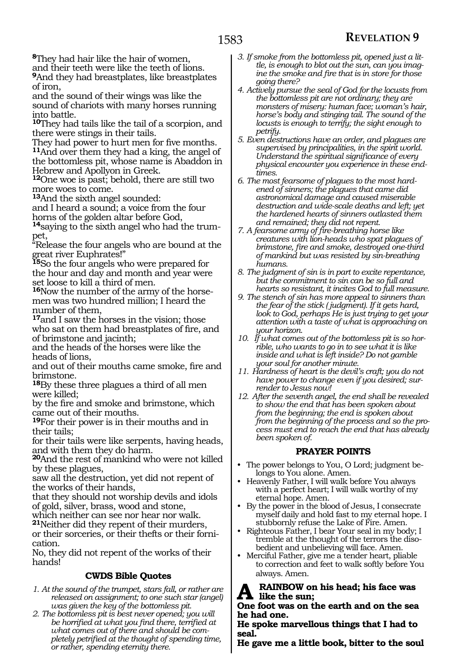**<sup>8</sup>**They had hair like the hair of women, and their teeth were like the teeth of lions.

**<sup>9</sup>**And they had breastplates, like breastplates of iron,

and the sound of their wings was like the sound of chariots with many horses running into battle.

**<sup>10</sup>**They had tails like the tail of a scorpion, and there were stings in their tails.

They had power to hurt men for five months. **<sup>11</sup>**And over them they had a king, the angel of the bottomless pit, whose name is Abaddon in Hebrew and Apollyon in Greek.

**<sup>12</sup>**One woe is past; behold, there are still two more woes to come.

**<sup>13</sup>**And the sixth angel sounded:

and I heard a sound; a voice from the four horns of the golden altar before God,

**14**saying to the sixth angel who had the trumpet,

"Release the four angels who are bound at the great river Euphrates!"

**<sup>15</sup>**So the four angels who were prepared for the hour and day and month and year were set loose to kill a third of men.

**16**Now the number of the army of the horsemen was two hundred million; I heard the number of them,

**<sup>17</sup>**and I saw the horses in the vision; those who sat on them had breastplates of fire, and of brimstone and jacinth;

and the heads of the horses were like the heads of lions,

and out of their mouths came smoke, fire and brimstone.

**<sup>18</sup>**By these three plagues a third of all men were killed;

by the fire and smoke and brimstone, which came out of their mouths.

**<sup>19</sup>**For their power is in their mouths and in their tails;

for their tails were like serpents, having heads, and with them they do harm.

**<sup>20</sup>**And the rest of mankind who were not killed by these plagues,

saw all the destruction, yet did not repent of the works of their hands,

that they should not worship devils and idols of gold, silver, brass, wood and stone,

which neither can see nor hear nor walk. **<sup>21</sup>**Neither did they repent of their murders,

or their sorceries, or their thefts or their fornication.

No, they did not repent of the works of their hands!

## **CWDS Bible Quotes**

- *1. At the sound of the trumpet, stars fall, or rather are released on assignment; to one such star (angel) was given the key of the bottomless pit.*
- *2. The bottomless pit is best never opened; you will be horrified at what you find there, terrified at what comes out of there and should be completely petrified at the thought of spending time, or rather, spending eternity there.*
- *3. If smoke from the bottomless pit, opened just a little, is enough to blot out the sun, can you imagine the smoke and fire that is in store for those going there?*
- *4. Actively pursue the seal of God for the locusts from the bottomless pit are not ordinary; they are monsters of misery: human face; woman's hair, horse's body and stinging tail. The sound of the locusts is enough to terrify; the sight enough to petrify.*
- *5. Even destructions have an order, and plagues are supervised by principalities, in the spirit world. Understand the spiritual significance of every physical encounter you experience in these endtimes.*
- *6. The most fearsome of plagues to the most hardened of sinners; the plagues that came did astronomical damage and caused miserable destruction and wide-scale deaths and left; yet the hardened hearts of sinners outlasted them and remained; they did not repent.*
- *7. A fearsome army of fire-breathing horse like creatures with lion-heads who spat plagues of brimstone, fire and smoke, destroyed one-third of mankind but was resisted by sin-breathing humans.*
- *8. The judgment of sin is in part to excite repentance, but the commitment to sin can be so full and hearts so resistant, it incites God to full measure.*
- *9. The stench of sin has more appeal to sinners than the fear of the stick ( judgment). If it gets hard, look to God, perhaps He is just trying to get your attention with a taste of what is approaching on your horizon.*
- *10. If what comes out of the bottomless pit is so horrible, who wants to go in to see what it is like inside and what is left inside? Do not gamble your soul for another minute.*
- *11. Hardness of heart is the devil's craft; you do not have power to change even if you desired; surrender to Jesus now!*
- *12. After the seventh angel, the end shall be revealed to show the end that has been spoken about from the beginning; the end is spoken about from the beginning of the process and so the process must end to reach the end that has already been spoken of.*

## **PRAYER POINTS**

- The power belongs to You, O Lord; judgment belongs to You alone. Amen.
- Heavenly Father, I will walk before You always with a perfect heart; I will walk worthy of my eternal hope. Amen.
- By the power in the blood of Jesus, I consecrate myself daily and hold fast to my eternal hope. I stubbornly refuse the Lake of Fire. Amen.
- Righteous Father, I bear Your seal in my body; I tremble at the thought of the terrors the disobedient and unbelieving will face. Amen.
- Merciful Father, give me a tender heart, pliable to correction and feet to walk softly before You always. Amen.

**RAINBOW** on his head; his face was **like the sun;**

**One foot was on the earth and on the sea he had one.**

**He spoke marvellous things that I had to seal.**

**He gave me a little book, bitter to the soul**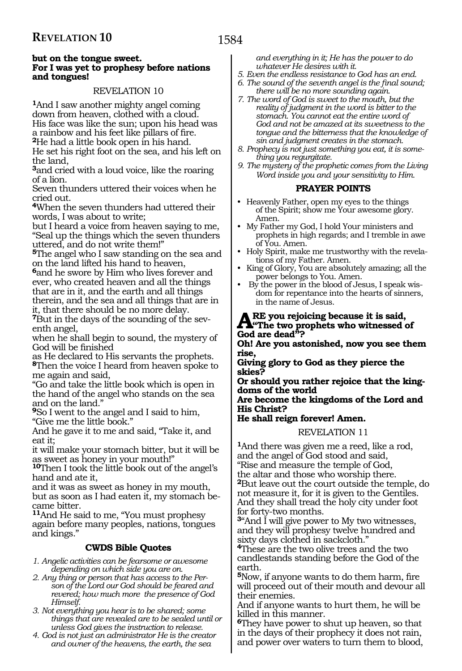#### **but on the tongue sweet. For I was yet to prophesy before nations and tongues!**

## REVELATION 10

**<sup>1</sup>**And I saw another mighty angel coming down from heaven, clothed with a cloud. His face was like the sun; upon his head was a rainbow and his feet like pillars of fire. **<sup>2</sup>**He had a little book open in his hand.

He set his right foot on the sea, and his left on the land,

**<sup>3</sup>**and cried with a loud voice, like the roaring of a lion.

Seven thunders uttered their voices when he cried out.

**<sup>4</sup>**When the seven thunders had uttered their words, I was about to write;

but I heard a voice from heaven saying to me, "Seal up the things which the seven thunders uttered, and do not write them!"

**<sup>5</sup>**The angel who I saw standing on the sea and on the land lifted his hand to heaven,

**<sup>6</sup>**and he swore by Him who lives forever and ever, who created heaven and all the things that are in it, and the earth and all things therein, and the sea and all things that are in it, that there should be no more delay.

**7**But in the days of the sounding of the seventh angel,

when he shall begin to sound, the mystery of God will be finished

as He declared to His servants the prophets. **<sup>8</sup>**Then the voice I heard from heaven spoke to me again and said,

"Go and take the little book which is open in the hand of the angel who stands on the sea and on the land."

**<sup>9</sup>**So I went to the angel and I said to him, "Give me the little book."

And he gave it to me and said, "Take it, and eat it;

it will make your stomach bitter, but it will be as sweet as honey in your mouth!"

**<sup>10</sup>**Then I took the little book out of the angel's hand and ate it,

and it was as sweet as honey in my mouth, but as soon as I had eaten it, my stomach became bitter.

**<sup>11</sup>**And He said to me, "You must prophesy again before many peoples, nations, tongues and kings."

## **CWDS Bible Quotes**

*1. Angelic activities can be fearsome or awesome depending on which side you are on.*

*2. Any thing or person that has access to the Person of the Lord our God should be feared and revered; how much more the presence of God Himself.*

*3. Not everything you hear is to be shared; some things that are revealed are to be sealed until or unless God gives the instruction to release.*

*4. God is not just an administrator He is the creator and owner of the heavens, the earth, the sea* 

*and everything in it; He has the power to do whatever He desires with it.*

*5. Even the endless resistance to God has an end.*

- *6. The sound of the seventh angel is the final sound; there will be no more sounding again.*
- *7. The word of God is sweet to the mouth, but the reality of judgment in the word is bitter to the stomach. You cannot eat the entire word of God and not be amazed at its sweetness to the tongue and the bitterness that the knowledge of sin and judgment creates in the stomach.*
- *8. Prophecy is not just something you eat, it is something you regurgitate.*
- *9. The mystery of the prophetic comes from the Living Word inside you and your sensitivity to Him.*

## **PRAYER POINTS**

- Heavenly Father, open my eyes to the things of the Spirit; show me Your awesome glory. Amen.
- My Father my God, I hold Your ministers and prophets in high regards; and I tremble in awe of You. Amen.
- Holy Spirit, make me trustworthy with the revelations of my Father. Amen.
- King of Glory, You are absolutely amazing; all the power belongs to You. Amen.
- By the power in the blood of Jesus, I speak wisdom for repentance into the hearts of sinners, in the name of Jesus.

## ARE you rejoicing because it is said,<br> **A**<sup>ta</sup>The two prophets who witnessed of **God are dead"?**

**Oh! Are you astonished, now you see them rise,**

**Giving glory to God as they pierce the skies?**

**Or should you rather rejoice that the kingdoms of the world** 

**Are become the kingdoms of the Lord and His Christ?**

## **He shall reign forever! Amen.**

#### REVELATION 11

**<sup>1</sup>**And there was given me a reed, like a rod, and the angel of God stood and said, "Rise and measure the temple of God, the altar and those who worship there. **<sup>2</sup>**But leave out the court outside the temple, do not measure it, for it is given to the Gentiles. And they shall tread the holy city under foot for forty-two months.

**<sup>3</sup>**"And I will give power to My two witnesses, and they will prophesy twelve hundred and sixty days clothed in sackcloth."

**<sup>4</sup>**These are the two olive trees and the two candlestands standing before the God of the earth.

**<sup>5</sup>**Now, if anyone wants to do them harm, fire will proceed out of their mouth and devour all their enemies.

And if anyone wants to hurt them, he will be killed in this manner.

**<sup>6</sup>**They have power to shut up heaven, so that in the days of their prophecy it does not rain, and power over waters to turn them to blood,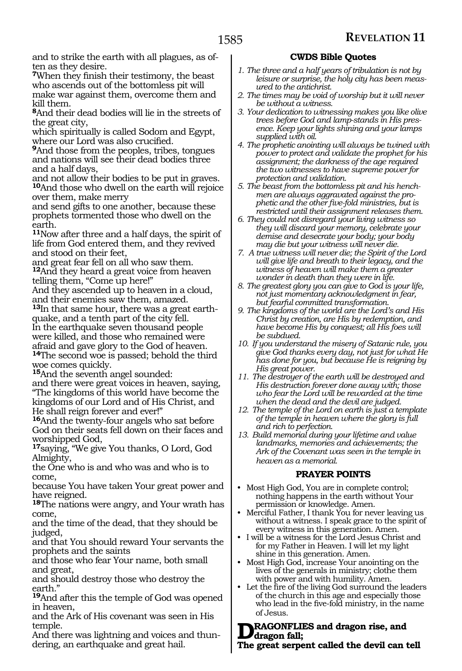and to strike the earth with all plagues, as often as they desire.

**<sup>7</sup>**When they finish their testimony, the beast who ascends out of the bottomless pit will make war against them, overcome them and kill them.

**<sup>8</sup>**And their dead bodies will lie in the streets of the great city,

which spiritually is called Sodom and Egypt, where our Lord was also crucified.

**<sup>9</sup>**And those from the peoples, tribes, tongues and nations will see their dead bodies three and a half days,

and not allow their bodies to be put in graves. **<sup>10</sup>**And those who dwell on the earth will rejoice over them, make merry

and send gifts to one another, because these prophets tormented those who dwell on the earth.

**<sup>11</sup>**Now after three and a half days, the spirit of life from God entered them, and they revived and stood on their feet,

and great fear fell on all who saw them. **<sup>12</sup>**And they heard a great voice from heaven telling them, "Come up here!"

And they ascended up to heaven in a cloud, and their enemies saw them, amazed.

**13**In that same hour, there was a great earthquake, and a tenth part of the city fell. In the earthquake seven thousand people were killed, and those who remained were afraid and gave glory to the God of heaven.

**<sup>14</sup>**The second woe is passed; behold the third woe comes quickly.

**<sup>15</sup>**And the seventh angel sounded:

and there were great voices in heaven, saying, "The kingdoms of this world have become the kingdoms of our Lord and of His Christ, and He shall reign forever and ever!"

**<sup>16</sup>**And the twenty-four angels who sat before God on their seats fell down on their faces and worshipped God,

**<sup>17</sup>**saying, "We give You thanks, O Lord, God Almighty,

the One who is and who was and who is to come,

because You have taken Your great power and have reigned.

**<sup>18</sup>**The nations were angry, and Your wrath has come,

and the time of the dead, that they should be judged,

and that You should reward Your servants the prophets and the saints

and those who fear Your name, both small and great,

and should destroy those who destroy the earth.'

**<sup>19</sup>**And after this the temple of God was opened in heaven,

and the Ark of His covenant was seen in His temple.

And there was lightning and voices and thundering, an earthquake and great hail.

## **CWDS Bible Quotes**

- *1. The three and a half years of tribulation is not by leisure or surprise, the holy city has been measured to the antichrist.*
- *2. The times may be void of worship but it will never be without a witness.*
- *3. Your dedication to witnessing makes you like olive trees before God and lamp-stands in His presence. Keep your lights shining and your lamps supplied with oil.*
- *4. The prophetic anointing will always be twined with power to protect and validate the prophet for his assignment; the darkness of the age required the two witnesses to have supreme power for protection and validation.*
- *5. The beast from the bottomless pit and his henchmen are always aggravated against the prophetic and the other five-fold ministries, but is restricted until their assignment releases them.*
- *6. They could not disregard your living witness so they will discard your memory, celebrate your demise and desecrate your body; your body may die but your witness will never die.*
- *7. A true witness will never die; the Spirit of the Lord will give life and breath to their legacy, and the witness of heaven will make them a greater wonder in death than they were in life.*
- *8. The greatest glory you can give to God is your life, not just momentary acknowledgment in fear, but fearful committed transformation.*
- *9. The kingdoms of the world are the Lord's and His Christ by creation, are His by redemption, and have become His by conquest; all His foes will be subdued.*
- *10. If you understand the misery of Satanic rule, you give God thanks every day, not just for what He has done for you, but because He is reigning by His great power.*
- *11. The destroyer of the earth will be destroyed and His destruction forever done away with; those who fear the Lord will be rewarded at the time when the dead and the devil are judged.*
- *12. The temple of the Lord on earth is just a template of the temple in heaven where the glory is full and rich to perfection.*
- *13. Build memorial during your lifetime and value landmarks, memories and achievements; the Ark of the Covenant was seen in the temple in heaven as a memorial.*

## **PRAYER POINTS**

- Most High God, You are in complete control; nothing happens in the earth without Your permission or knowledge. Amen.
- Merciful Father, I thank You for never leaving us without a witness. I speak grace to the spirit of every witness in this generation. Amen.
- I will be a witness for the Lord Jesus Christ and for my Father in Heaven. I will let my light shine in this generation. Amen.
- Most High God, increase Your anointing on the lives of the generals in ministry; clothe them with power and with humility. Amen.
- Let the fire of the living God surround the leaders of the church in this age and especially those who lead in the five-fold ministry, in the name of Jesus.

## **RAGONFLIES and dragon rise, and dragon fall;**

**The great serpent called the devil can tell**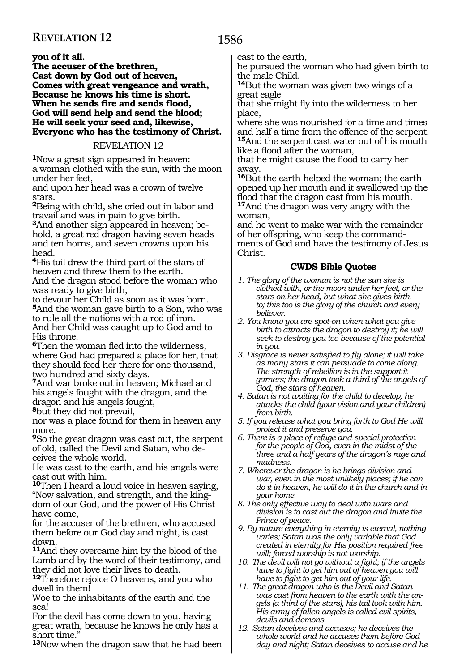## **you of it all.**

**The accuser of the brethren, Cast down by God out of heaven, Comes with great vengeance and wrath, Because he knows his time is short. When he sends fire and sends flood, God will send help and send the blood; He will seek your seed and, likewise, Everyone who has the testimony of Christ.** 

## REVELATION 12

**<sup>1</sup>**Now a great sign appeared in heaven: a woman clothed with the sun, with the moon under her feet,

and upon her head was a crown of twelve stars.

**<sup>2</sup>**Being with child, she cried out in labor and travail and was in pain to give birth.

**3**And another sign appeared in heaven; behold, a great red dragon having seven heads and ten horns, and seven crowns upon his head.

**<sup>4</sup>**His tail drew the third part of the stars of heaven and threw them to the earth. And the dragon stood before the woman who was ready to give birth,

to devour her Child as soon as it was born. **<sup>5</sup>**And the woman gave birth to a Son, who was to rule all the nations with a rod of iron. And her Child was caught up to God and to His throne.

**<sup>6</sup>**Then the woman fled into the wilderness, where God had prepared a place for her, that they should feed her there for one thousand, two hundred and sixty days.

**<sup>7</sup>**And war broke out in heaven; Michael and his angels fought with the dragon, and the dragon and his angels fought, **<sup>8</sup>**but they did not prevail,

nor was a place found for them in heaven any more.

**<sup>9</sup>**So the great dragon was cast out, the serpent of old, called the Devil and Satan, who deceives the whole world.

He was cast to the earth, and his angels were cast out with him.

**<sup>10</sup>**Then I heard a loud voice in heaven saying, "Now salvation, and strength, and the kingdom of our God, and the power of His Christ have come,

for the accuser of the brethren, who accused them before our God day and night, is cast down.

**<sup>11</sup>**And they overcame him by the blood of the Lamb and by the word of their testimony, and they did not love their lives to death.

**<sup>12</sup>**Therefore rejoice O heavens, and you who dwell in them!

Woe to the inhabitants of the earth and the sea!

For the devil has come down to you, having great wrath, because he knows he only has a short time."

**<sup>13</sup>**Now when the dragon saw that he had been

## 1586

cast to the earth,

he pursued the woman who had given birth to the male Child.

**<sup>14</sup>**But the woman was given two wings of a great eagle

that she might fly into the wilderness to her place,

where she was nourished for a time and times and half a time from the offence of the serpent. **<sup>15</sup>**And the serpent cast water out of his mouth like a flood after the woman,

that he might cause the flood to carry her away.

**<sup>16</sup>**But the earth helped the woman; the earth opened up her mouth and it swallowed up the flood that the dragon cast from his mouth. **<sup>17</sup>**And the dragon was very angry with the woman,

and he went to make war with the remainder of her offspring, who keep the commandments of God and have the testimony of Jesus Christ.

- *1. The glory of the woman is not the sun she is clothed with, or the moon under her feet, or the stars on her head, but what she gives birth to; this too is the glory of the church and every believer.*
- *2. You know you are spot-on when what you give birth to attracts the dragon to destroy it; he will seek to destroy you too because of the potential in you.*
- *3. Disgrace is never satisfied to fly alone; it will take as many stars it can persuade to come along. The strength of rebellion is in the support it garners; the dragon took a third of the angels of God, the stars of heaven.*
- *4. Satan is not waiting for the child to develop, he attacks the child (your vision and your children) from birth.*
- *5. If you release what you bring forth to God He will protect it and preserve you.*
- *6. There is a place of refuge and special protection for the people of God, even in the midst of the three and a half years of the dragon's rage and madness.*
- *7. Wherever the dragon is he brings division and war, even in the most unlikely places; if he can do it in heaven, he will do it in the church and in your home.*
- *8. The only effective way to deal with wars and division is to cast out the dragon and invite the Prince of peace.*
- *9. By nature everything in eternity is eternal, nothing varies; Satan was the only variable that God created in eternity for His position required free will; forced worship is not worship.*
- *10. The devil will not go without a fight; if the angels have to fight to get him out of heaven you will have to fight to get him out of your life.*
- *11. The great dragon who is the Devil and Satan was cast from heaven to the earth with the angels (a third of the stars), his tail took with him. His army of fallen angels is called evil spirits, devils and demons.*
- *12. Satan deceives and accuses; he deceives the whole world and he accuses them before God day and night; Satan deceives to accuse and he*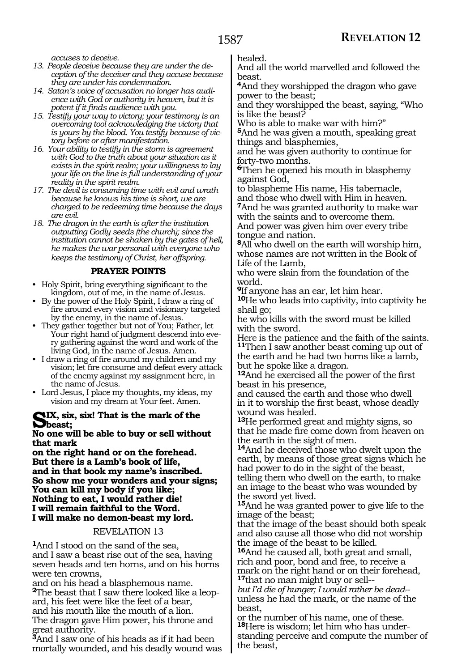*accuses to deceive.*

- *13. People deceive because they are under the deception of the deceiver and they accuse because they are under his condemnation.*
- *14. Satan's voice of accusation no longer has audience with God or authority in heaven, but it is potent if it finds audience with you.*
- *15. Testify your way to victory; your testimony is an overcoming tool acknowledging the victory that is yours by the blood. You testify because of victory before or after manifestation.*
- *16. Your ability to testify in the storm is agreement with God to the truth about your situation as it exists in the spirit realm; your willingness to lay your life on the line is full understanding of your reality in the spirit realm.*
- *17. The devil is consuming time with evil and wrath because he knows his time is short, we are charged to be redeeming time because the days are evil.*
- *18. The dragon in the earth is after the institution outputting Godly seeds (the church); since the institution cannot be shaken by the gates of hell, he makes the war personal with everyone who keeps the testimony of Christ, her offspring.*

#### **PRAYER POINTS**

- Holy Spirit, bring everything significant to the kingdom, out of me, in the name of Jesus.
- By the power of the Holy Spirit, I draw a ring of fire around every vision and visionary targeted by the enemy, in the name of Jesus.
- They gather together but not of You; Father, let Your right hand of judgment descend into every gathering against the word and work of the living God, in the name of Jesus. Amen.
- I draw a ring of fire around my children and my vision; let fire consume and defeat every attack of the enemy against my assignment here, in the name of Jesus.
- Lord Jesus, I place my thoughts, my ideas, my vision and my dream at Your feet. Amen.

#### **Six, six, six! That is the mark of the beast;**

#### **No one will be able to buy or sell without that mark**

**on the right hand or on the forehead. But there is a Lamb's book of life, and in that book my name's inscribed. So show me your wonders and your signs; You can kill my body if you like; Nothing to eat, I would rather die! I will remain faithful to the Word. I will make no demon-beast my lord.** 

## REVELATION 13

**<sup>1</sup>**And I stood on the sand of the sea, and I saw a beast rise out of the sea, having seven heads and ten horns, and on his horns were ten crowns,

and on his head a blasphemous name. **2**The beast that I saw there looked like a leopard, his feet were like the feet of a bear, and his mouth like the mouth of a lion. The dragon gave Him power, his throne and great authority.

**<sup>3</sup>**And I saw one of his heads as if it had been mortally wounded, and his deadly wound was healed.

And all the world marvelled and followed the beast.

**<sup>4</sup>**And they worshipped the dragon who gave power to the beast;

and they worshipped the beast, saying, "Who is like the beast?

Who is able to make war with him?"

**<sup>5</sup>**And he was given a mouth, speaking great things and blasphemies,

and he was given authority to continue for forty-two months.

**<sup>6</sup>**Then he opened his mouth in blasphemy against God,

to blaspheme His name, His tabernacle, and those who dwell with Him in heaven. **<sup>7</sup>**And he was granted authority to make war with the saints and to overcome them.

And power was given him over every tribe tongue and nation.

**<sup>8</sup>**All who dwell on the earth will worship him, whose names are not written in the Book of Life of the Lamb,

who were slain from the foundation of the world.

**<sup>9</sup>**If anyone has an ear, let him hear.

**<sup>10</sup>**He who leads into captivity, into captivity he shall go;

he who kills with the sword must be killed with the sword.

Here is the patience and the faith of the saints. **<sup>11</sup>**Then I saw another beast coming up out of the earth and he had two horns like a lamb, but he spoke like a dragon.

**<sup>12</sup>**And he exercised all the power of the first beast in his presence,

and caused the earth and those who dwell in it to worship the first beast, whose deadly wound was healed.

**<sup>13</sup>**He performed great and mighty signs, so that he made fire come down from heaven on the earth in the sight of men.

**<sup>14</sup>**And he deceived those who dwelt upon the earth, by means of those great signs which he had power to do in the sight of the beast, telling them who dwell on the earth, to make an image to the beast who was wounded by the sword yet lived.

**<sup>15</sup>**And he was granted power to give life to the image of the beast;

that the image of the beast should both speak and also cause all those who did not worship the image of the beast to be killed.

**<sup>16</sup>**And he caused all, both great and small, rich and poor, bond and free, to receive a mark on the right hand or on their forehead, **<sup>17</sup>**that no man might buy or sell--

*but I'd die of hunger; I would rather be dead-*  unless he had the mark, or the name of the beast,

or the number of his name, one of these. **18**Here is wisdom; let him who has understanding perceive and compute the number of the beast,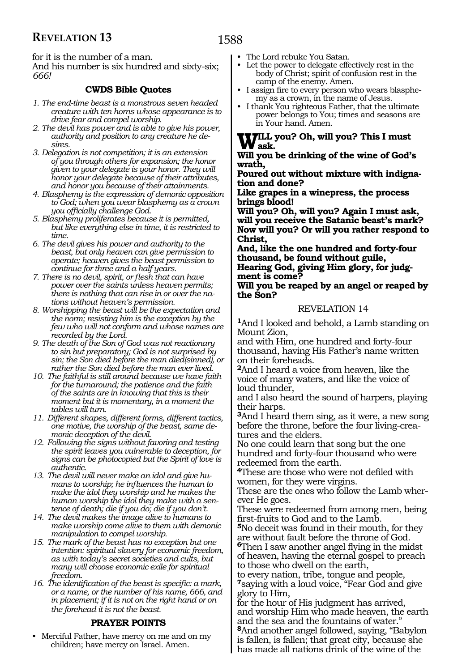for it is the number of a man.

And his number is six hundred and sixty-six; *666!*

## **CWDS Bible Quotes**

- *1. The end-time beast is a monstrous seven headed creature with ten horns whose appearance is to drive fear and compel worship.*
- *2. The devil has power and is able to give his power, authority and position to any creature he desires.*
- *3. Delegation is not competition; it is an extension of you through others for expansion; the honor given to your delegate is your honor. They will honor your delegate because of their attributes, and honor you because of their attainments.*
- *4. Blasphemy is the expression of demonic opposition to God; when you wear blasphemy as a crown you officially challenge God.*
- *5. Blasphemy proliferates because it is permitted, but like everything else in time, it is restricted to time.*
- *6. The devil gives his power and authority to the beast, but only heaven can give permission to operate; heaven gives the beast permission to continue for three and a half years.*
- *7. There is no devil, spirit, or flesh that can have power over the saints unless heaven permits; there is nothing that can rise in or over the nations without heaven's permission.*
- *8. Worshipping the beast will be the expectation and the norm; resisting him is the exception by the few who will not conform and whose names are recorded by the Lord.*
- *9. The death of the Son of God was not reactionary to sin but preparatory; God is not surprised by sin; the Son died before the man died(sinned), or rather the Son died before the man ever lived.*
- *10. The faithful is still around because we have faith for the turnaround; the patience and the faith of the saints are in knowing that this is their moment but it is momentary, in a moment the tables will turn.*
- *11. Different shapes, different forms, different tactics, one motive, the worship of the beast, same demonic deception of the devil.*
- *12. Following the signs without favoring and testing the spirit leaves you vulnerable to deception, for signs can be photocopied but the Spirit of love is authentic.*
- *13. The devil will never make an idol and give humans to worship; he influences the human to make the idol they worship and he makes the human worship the idol they make with a sentence of death; die if you do; die if you don't.*
- *14. The devil makes the image alive to humans to make worship come alive to them with demonic manipulation to compel worship.*
- *15. The mark of the beast has no exception but one intention: spiritual slavery for economic freedom, as with today's secret societies and cults, but many will choose economic exile for spiritual freedom.*
- *16. The identification of the beast is specific: a mark, or a name, or the number of his name, 666, and in placement; if it is not on the right hand or on the forehead it is not the beast.*

## **PRAYER POINTS**

• Merciful Father, have mercy on me and on my children; have mercy on Israel. Amen.

- The Lord rebuke You Satan.
- Let the power to delegate effectively rest in the body of Christ; spirit of confusion rest in the camp of the enemy. Amen.
- I assign fire to every person who wears blasphemy as a crown, in the name of Jesus.
- I thank You righteous Father, that the ultimate power belongs to You; times and seasons are in Your hand. Amen.

## **Will you? Oh, will you? This I must ask.**

## **Will you be drinking of the wine of God's wrath,**

**Poured out without mixture with indignation and done?** 

**Like grapes in a winepress, the process brings blood!**

**Will you? Oh, will you? Again I must ask, will you receive the Satanic beast's mark? Now will you? Or will you rather respond to Christ,**

**And, like the one hundred and forty-four thousand, be found without guile, Hearing God, giving Him glory, for judgment is come?**

## **Will you be reaped by an angel or reaped by the Son?**

## REVELATION 14

**<sup>1</sup>**And I looked and behold, a Lamb standing on Mount Zion,

and with Him, one hundred and forty-four thousand, having His Father's name written on their foreheads.

**<sup>2</sup>**And I heard a voice from heaven, like the voice of many waters, and like the voice of loud thunder,

and I also heard the sound of harpers, playing their harps.

**<sup>3</sup>**And I heard them sing, as it were, a new song before the throne, before the four living-creatures and the elders.

No one could learn that song but the one hundred and forty-four thousand who were redeemed from the earth.

**<sup>4</sup>**These are those who were not defiled with women, for they were virgins.

These are the ones who follow the Lamb wherever He goes.

These were redeemed from among men, being first-fruits to God and to the Lamb.

**<sup>5</sup>**No deceit was found in their mouth, for they are without fault before the throne of God.

**<sup>6</sup>**Then I saw another angel flying in the midst of heaven, having the eternal gospel to preach to those who dwell on the earth,

to every nation, tribe, tongue and people, **<sup>7</sup>**saying with a loud voice, "Fear God and give glory to Him,

for the hour of His judgment has arrived, and worship Him who made heaven, the earth and the sea and the fountains of water. **<sup>8</sup>**And another angel followed, saying, "Babylon is fallen, is fallen; that great city, because she has made all nations drink of the wine of the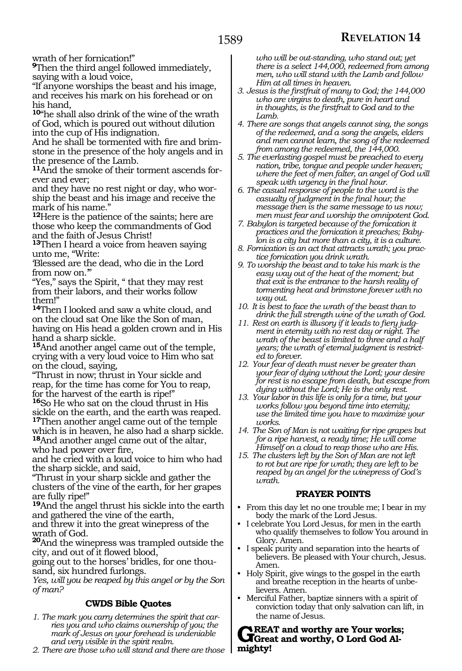wrath of her fornication!"

**<sup>9</sup>**Then the third angel followed immediately, saying with a loud voice,

"If anyone worships the beast and his image, and receives his mark on his forehead or on his hand,

**<sup>10</sup>**"he shall also drink of the wine of the wrath of God, which is poured out without dilution into the cup of His indignation.

And he shall be tormented with fire and brimstone in the presence of the holy angels and in the presence of the Lamb.

**11**And the smoke of their torment ascends forever and ever;

and they have no rest night or day, who worship the beast and his image and receive the mark of his name."

**<sup>12</sup>**Here is the patience of the saints; here are those who keep the commandments of God and the faith of Jesus Christ!

**<sup>13</sup>**Then I heard a voice from heaven saying unto me, "Write:

'Blessed are the dead, who die in the Lord from now on. $^{\cdot}$ 

"Yes," says the Spirit, " that they may rest from their labors, and their works follow them!"

**<sup>14</sup>**Then I looked and saw a white cloud, and on the cloud sat One like the Son of man, having on His head a golden crown and in His hand a sharp sickle.

**<sup>15</sup>**And another angel came out of the temple, crying with a very loud voice to Him who sat on the cloud, saying,

"Thrust in now; thrust in Your sickle and reap, for the time has come for You to reap, for the harvest of the earth is ripe!"

**<sup>16</sup>**So He who sat on the cloud thrust in His sickle on the earth, and the earth was reaped. **<sup>17</sup>**Then another angel came out of the temple which is in heaven, he also had a sharp sickle. **<sup>18</sup>**And another angel came out of the altar, who had power over fire,

and he cried with a loud voice to him who had the sharp sickle, and said,

"Thrust in your sharp sickle and gather the clusters of the vine of the earth, for her grapes are fully ripe!"

**<sup>19</sup>**And the angel thrust his sickle into the earth and gathered the vine of the earth,

and threw it into the great winepress of the

wrath of God. **<sup>20</sup>**And the winepress was trampled outside the city, and out of it flowed blood,

going out to the horses' bridles, for one thousand, six hundred furlongs.

*Yes, will you be reaped by this angel or by the Son of man?*

## **CWDS Bible Quotes**

- *1. The mark you carry determines the spirit that carries you and who claims ownership of you; the mark of Jesus on your forehead is undeniable and very visible in the spirit realm.*
- *2. There are those who will stand and there are those*

*who will be out-standing, who stand out; yet there is a select 144,000, redeemed from among men, who will stand with the Lamb and follow Him at all times in heaven.*

- *3. Jesus is the firstfruit of many to God; the 144,000 who are virgins to death, pure in heart and in thoughts, is the firstfruit to God and to the Lamb.*
- *4. There are songs that angels cannot sing, the songs of the redeemed, and a song the angels, elders and men cannot learn, the song of the redeemed from among the redeemed, the 144,000.*
- *5. The everlasting gospel must be preached to every nation, tribe, tongue and people under heaven; where the feet of men falter, an angel of God will speak with urgency in the final hour.*

*6. The casual response of people to the word is the casualty of judgment in the final hour; the message then is the same message to us now; men must fear and worship the omnipotent God.*

- *7. Babylon is targeted because of the fornication it practices and the fornication it preaches; Babylon is a city but more than a city, it is a culture.*
- *8. Fornication is an act that attracts wrath; you practice fornication you drink wrath.*
- *9. To worship the beast and to take his mark is the easy way out of the heat of the moment; but that exit is the entrance to the harsh reality of tormenting heat and brimstone forever with no way out.*
- *10. It is best to face the wrath of the beast than to drink the full strength wine of the wrath of God.*
- *11. Rest on earth is illusory if it leads to fiery judgment in eternity with no rest day or night. The wrath of the beast is limited to three and a half years; the wrath of eternal judgment is restricted to forever.*
- *12. Your fear of death must never be greater than your fear of dying without the Lord; your desire for rest is no escape from death, but escape from dying without the Lord; He is the only rest.*
- *13. Your labor in this life is only for a time, but your works follow you beyond time into eternity; use the limited time you have to maximize your works.*
- *14. The Son of Man is not waiting for ripe grapes but for a ripe harvest, a ready time; He will come Himself on a cloud to reap those who are His.*
- *15. The clusters left by the Son of Man are not left to rot but are ripe for wrath; they are left to be reaped by an angel for the winepress of God's wrath.*

## **PRAYER POINTS**

- From this day let no one trouble me; I bear in my body the mark of the Lord Jesus.
- I celebrate You Lord Jesus, for men in the earth who qualify themselves to follow You around in Glory. Amen.
- I speak purity and separation into the hearts of believers. Be pleased with Your church, Jesus. Amen.
- Holy Spirit, give wings to the gospel in the earth and breathe reception in the hearts of unbelievers. Amen.
- Merciful Father, baptize sinners with a spirit of conviction today that only salvation can lift, in the name of Jesus.

GREAT and worthy are Your works;<br>
<u>Great</u> and worthy, O Lord God Al**mighty!**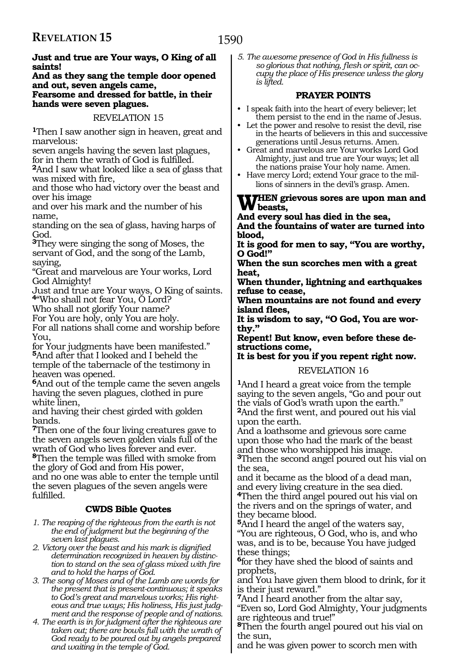## **Just and true are Your ways, O King of all saints!**

#### **And as they sang the temple door opened and out, seven angels came, Fearsome and dressed for battle, in their hands were seven plagues.**

## REVELATION 15

**<sup>1</sup>**Then I saw another sign in heaven, great and marvelous:

seven angels having the seven last plagues, for in them the wrath of God is fulfilled.

**<sup>2</sup>**And I saw what looked like a sea of glass that was mixed with fire,

and those who had victory over the beast and over his image

and over his mark and the number of his name,

standing on the sea of glass, having harps of God.

**<sup>3</sup>**They were singing the song of Moses, the servant of God, and the song of the Lamb, saying,

"Great and marvelous are Your works, Lord God Almighty!

Just and true are Your ways, O King of saints. **<sup>4</sup>**"Who shall not fear You, O Lord?

Who shall not glorify Your name?

For You are holy, only You are holy.

For all nations shall come and worship before You,

for Your judgments have been manifested." **<sup>5</sup>**And after that I looked and I beheld the temple of the tabernacle of the testimony in heaven was opened.

**<sup>6</sup>**And out of the temple came the seven angels having the seven plagues, clothed in pure white linen,

and having their chest girded with golden bands.

**<sup>7</sup>**Then one of the four living creatures gave to the seven angels seven golden vials full of the wrath of God who lives forever and ever.

**<sup>8</sup>**Then the temple was filled with smoke from the glory of God and from His power,

and no one was able to enter the temple until the seven plagues of the seven angels were fulfilled.

## **CWDS Bible Quotes**

- *1. The reaping of the righteous from the earth is not the end of judgment but the beginning of the seven last plagues.*
- *2. Victory over the beast and his mark is dignified determination recognized in heaven by distinction to stand on the sea of glass mixed with fire and to hold the harps of God.*
- *3. The song of Moses and of the Lamb are words for the present that is present-continuous; it speaks to God's great and marvelous works; His righteous and true ways; His holiness, His just judgment and the response of people and of nations.*
- *4. The earth is in for judgment after the righteous are taken out; there are bowls full with the wrath of God ready to be poured out by angels prepared and waiting in the temple of God.*

*5. The awesome presence of God in His fullness is so glorious that nothing, flesh or spirit, can occupy the place of His presence unless the glory is lifted.* 

## **PRAYER POINTS**

- I speak faith into the heart of every believer; let them persist to the end in the name of Jesus.
- Let the power and resolve to resist the devil, rise in the hearts of believers in this and successive generations until Jesus returns. Amen.
- Great and marvelous are Your works Lord God Almighty, just and true are Your ways; let all the nations praise Your holy name. Amen.
- Have mercy Lord; extend Your grace to the millions of sinners in the devil's grasp. Amen.

## WHEN grievous sores are upon man and<br> **beasts,**<br> **begins and in the security of the security**

**And every soul has died in the sea, And the fountains of water are turned into blood,** 

**It is good for men to say, "You are worthy, O God!"** 

**When the sun scorches men with a great heat,** 

**When thunder, lightning and earthquakes refuse to cease,** 

**When mountains are not found and every island flees,** 

**It is wisdom to say, "O God, You are worthy."** 

**Repent! But know, even before these destructions come,** 

**It is best for you if you repent right now.** 

## REVELATION 16

**<sup>1</sup>**And I heard a great voice from the temple saying to the seven angels, "Go and pour out the vials of God's wrath upon the earth." **<sup>2</sup>**And the first went, and poured out his vial upon the earth.

And a loathsome and grievous sore came upon those who had the mark of the beast and those who worshipped his image. **<sup>3</sup>**Then the second angel poured out his vial on

the sea, and it became as the blood of a dead man, and every living creature in the sea died.

**<sup>4</sup>**Then the third angel poured out his vial on the rivers and on the springs of water, and they became blood.

**<sup>5</sup>**And I heard the angel of the waters say, "You are righteous, O God, who is, and who was, and is to be, because You have judged these things;

**<sup>6</sup>**for they have shed the blood of saints and prophets,

and You have given them blood to drink, for it is their just reward."

**<sup>7</sup>**And I heard another from the altar say,

"Even so, Lord God Almighty, Your judgments are righteous and true!"

**<sup>8</sup>**Then the fourth angel poured out his vial on the sun,

and he was given power to scorch men with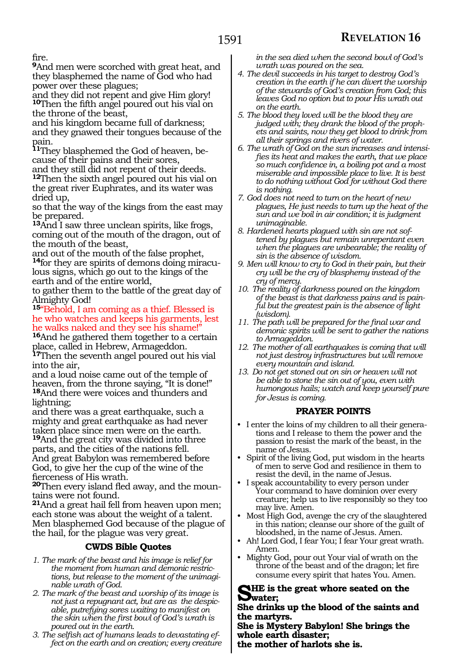fire.

**<sup>9</sup>**And men were scorched with great heat, and they blasphemed the name of God who had power over these plagues;

and they did not repent and give Him glory! **<sup>10</sup>**Then the fifth angel poured out his vial on the throne of the beast,

and his kingdom became full of darkness; and they gnawed their tongues because of the pain.

**11**They blasphemed the God of heaven, because of their pains and their sores, and they still did not repent of their deeds.

**<sup>12</sup>**Then the sixth angel poured out his vial on the great river Euphrates, and its water was dried up,

so that the way of the kings from the east may be prepared.

**<sup>13</sup>**And I saw three unclean spirits, like frogs, coming out of the mouth of the dragon, out of the mouth of the beast,

and out of the mouth of the false prophet, **14**for they are spirits of demons doing miraculous signs, which go out to the kings of the earth and of the entire world,

to gather them to the battle of the great day of Almighty God!

**<sup>15</sup>**"Behold, I am coming as a thief. Blessed is he who watches and keeps his garments, lest he walks naked and they see his shame!"

**<sup>16</sup>**And he gathered them together to a certain place, called in Hebrew, Armageddon.

**<sup>17</sup>**Then the seventh angel poured out his vial into the air,

and a loud noise came out of the temple of heaven, from the throne saying, "It is done!" **<sup>18</sup>**And there were voices and thunders and lightning;

and there was a great earthquake, such a mighty and great earthquake as had never taken place since men were on the earth.

**<sup>19</sup>**And the great city was divided into three parts, and the cities of the nations fell. And great Babylon was remembered before God, to give her the cup of the wine of the fierceness of His wrath.

**20**Then every island fled away, and the mountains were not found.

**<sup>21</sup>**And a great hail fell from heaven upon men; each stone was about the weight of a talent. Men blasphemed God because of the plague of the hail, for the plague was very great.

## **CWDS Bible Quotes**

- *1. The mark of the beast and his image is relief for the moment from human and demonic restrictions, but release to the moment of the unimaginable wrath of God.*
- *2. The mark of the beast and worship of its image is not just a repugnant act, but are as the despicable, putrefying sores waiting to manifest on the skin when the first bowl of God's wrath is poured out in the earth.*
- *3. The selfish act of humans leads to devastating effect on the earth and on creation; every creature*

*in the sea died when the second bowl of God's wrath was poured on the sea.*

- *4. The devil succeeds in his target to destroy God's creation in the earth if he can divert the worship of the stewards of God's creation from God; this leaves God no option but to pour His wrath out on the earth.*
- *5. The blood they loved will be the blood they are judged with; they drank the blood of the prophets and saints, now they get blood to drink from all their springs and rivers of water.*
- *6. The wrath of God on the sun increases and intensifies its heat and makes the earth, that we place so much confidence in, a boiling pot and a most miserable and impossible place to live. It is best to do nothing without God for without God there is nothing.*
- *7. God does not need to turn on the heart of new plagues, He just needs to turn up the heat of the sun and we boil in air condition; it is judgment unimaginable.*
- *8. Hardened hearts plagued with sin are not softened by plagues but remain unrepentant even when the plagues are unbearable; the reality of sin is the absence of wisdom.*
- *9. Men will know to cry to God in their pain, but their cry will be the cry of blasphemy instead of the cry of mercy.*
- *10. The reality of darkness poured on the kingdom of the beast is that darkness pains and is painful but the greatest pain is the absence of light (wisdom).*
- *11. The path will be prepared for the final war and demonic spirits will be sent to gather the nations to Armageddon.*
- *12. The mother of all earthquakes is coming that will not just destroy infrastructures but will remove every mountain and island.*
- *13. Do not get stoned out on sin or heaven will not be able to stone the sin out of you, even with humongous hails; watch and keep yourself pure for Jesus is coming.*

## **PRAYER POINTS**

- I enter the loins of my children to all their generations and I release to them the power and the passion to resist the mark of the beast, in the name of Jesus.
- Spirit of the living God, put wisdom in the hearts of men to serve God and resilience in them to resist the devil, in the name of Jesus.
- I speak accountability to every person under Your command to have dominion over every creature; help us to live responsibly so they too may live. Amen.
- Most High God, avenge the cry of the slaughtered in this nation; cleanse our shore of the guilt of bloodshed, in the name of Jesus. Amen.
- Ah! Lord God, I fear You; I fear Your great wrath. Amen.
- Mighty God, pour out Your vial of wrath on the throne of the beast and of the dragon; let fire consume every spirit that hates You. Amen.

## **SHE** is the great whore seated on the **water;**

**She drinks up the blood of the saints and the martyrs.**

**She is Mystery Babylon! She brings the whole earth disaster;**

**the mother of harlots she is.**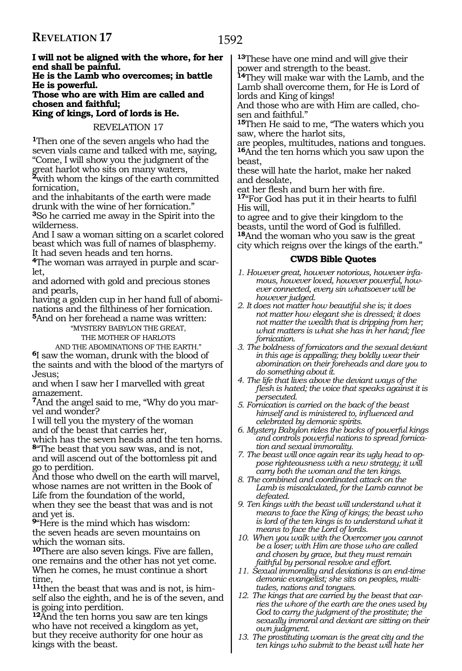**I will not be aligned with the whore, for her end shall be painful.**

**He is the Lamb who overcomes; in battle He is powerful.**

**Those who are with Him are called and chosen and faithful;**

**King of kings, Lord of lords is He.**

REVELATION 17

**<sup>1</sup>**Then one of the seven angels who had the seven vials came and talked with me, saying, "Come, I will show you the judgment of the

great harlot who sits on many waters, **<sup>2</sup>**with whom the kings of the earth committed fornication,

and the inhabitants of the earth were made drunk with the wine of her fornication."

**<sup>3</sup>**So he carried me away in the Spirit into the wilderness.

And I saw a woman sitting on a scarlet colored beast which was full of names of blasphemy. It had seven heads and ten horns.

**4**The woman was arrayed in purple and scarlet,

and adorned with gold and precious stones and pearls,

having a golden cup in her hand full of abominations and the filthiness of her fornication. **<sup>5</sup>**And on her forehead a name was written:

"Mystery Babylon The Great,

The Mother Of Harlots

And The Abominations of thE EARTH." **<sup>6</sup>**I saw the woman, drunk with the blood of

the saints and with the blood of the martyrs of Jesus;

and when I saw her I marvelled with great amazement.

**7**And the angel said to me, "Why do you marvel and wonder?

I will tell you the mystery of the woman and of the beast that carries her,

which has the seven heads and the ten horns. **<sup>8</sup>**"The beast that you saw was, and is not,

and will ascend out of the bottomless pit and go to perdition.

And those who dwell on the earth will marvel, whose names are not written in the Book of Life from the foundation of the world, when they see the beast that was and is not and yet is.

**<sup>9</sup>**"Here is the mind which has wisdom: the seven heads are seven mountains on which the woman sits.

**<sup>10</sup>**There are also seven kings. Five are fallen, one remains and the other has not yet come. When he comes, he must continue a short time,

**11**then the beast that was and is not, is himself also the eighth, and he is of the seven, and is going into perdition.

**<sup>12</sup>**And the ten horns you saw are ten kings who have not received a kingdom as yet, but they receive authority for one hour as kings with the beast.

**<sup>13</sup>**These have one mind and will give their power and strength to the beast.

**<sup>14</sup>**They will make war with the Lamb, and the Lamb shall overcome them, for He is Lord of lords and King of kings!

And those who are with Him are called, chosen and faithful."

**<sup>15</sup>**Then He said to me, "The waters which you saw, where the harlot sits,

are peoples, multitudes, nations and tongues. **<sup>16</sup>**And the ten horns which you saw upon the beast,

these will hate the harlot, make her naked and desolate,

eat her flesh and burn her with fire.

**<sup>17</sup>**"For God has put it in their hearts to fulfil His will,

to agree and to give their kingdom to the beasts, until the word of God is fulfilled. **<sup>18</sup>**And the woman who you saw is the great city which reigns over the kings of the earth."

## **CWDS Bible Quotes**

- *1. However great, however notorious, however infamous, however loved, however powerful, however connected, every sin whatsoever will be however judged.*
- *2. It does not matter how beautiful she is; it does not matter how elegant she is dressed; it does not matter the wealth that is dripping from her; what matters is what she has in her hand; flee fornication.*
- *3. The boldness of fornicators and the sexual deviant in this age is appalling; they boldly wear their abomination on their foreheads and dare you to do something about it.*
- *4. The life that lives above the deviant ways of the flesh is hated; the voice that speaks against it is persecuted.*

*5. Fornication is carried on the back of the beast himself and is ministered to, influenced and celebrated by demonic spirits.*

- *6. Mystery Babylon rides the backs of powerful kings and controls powerful nations to spread fornication and sexual immorality.*
- *7. The beast will once again rear its ugly head to oppose righteousness with a new strategy; it will carry both the woman and the ten kings.*
- *8. The combined and coordinated attack on the Lamb is miscalculated, for the Lamb cannot be defeated.*
- *9. Ten kings with the beast will understand what it means to face the King of kings; the beast who is lord of the ten kings is to understand what it means to face the Lord of lords.*
- *10. When you walk with the Overcomer you cannot be a loser; with Him are those who are called and chosen by grace, but they must remain faithful by personal resolve and effort.*
- *11. Sexual immorality and deviations is an end-time demonic evangelist; she sits on peoples, multitudes, nations and tongues.*
- *12. The kings that are carried by the beast that carries the whore of the earth are the ones used by God to carry the judgment of the prostitute; the sexually immoral and deviant are sitting on their own judgment.*
- *13. The prostituting woman is the great city and the ten kings who submit to the beast will hate her*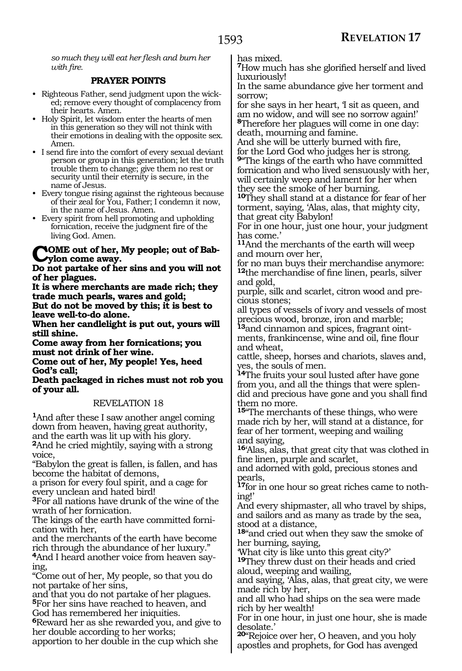*so much they will eat her flesh and burn her with fire.*

## **PRAYER POINTS**

- Righteous Father, send judgment upon the wicked; remove every thought of complacency from their hearts. Amen.
- Holy Spirit, let wisdom enter the hearts of men in this generation so they will not think with their emotions in dealing with the opposite sex. Amen.
- I send fire into the comfort of every sexual deviant person or group in this generation; let the truth trouble them to change; give them no rest or security until their eternity is secure, in the name of Jesus.
- Every tongue rising against the righteous because of their zeal for You, Father; I condemn it now, in the name of Jesus. Amen.
- Every spirit from hell promoting and upholding fornication, receive the judgment fire of the living God. Amen.

## **NOME** out of her, My people; out of Bab**ylon come away.**

**Do not partake of her sins and you will not of her plagues.**

**It is where merchants are made rich; they trade much pearls, wares and gold; But do not be moved by this; it is best to leave well-to-do alone.**

**When her candlelight is put out, yours will still shine.**

**Come away from her fornications; you must not drink of her wine.**

**Come out of her, My people! Yes, heed God's call;**

**Death packaged in riches must not rob you of your all.**

## REVELATION 18

**<sup>1</sup>**And after these I saw another angel coming down from heaven, having great authority, and the earth was lit up with his glory. **<sup>2</sup>**And he cried mightily, saying with a strong voice,

"Babylon the great is fallen, is fallen, and has become the habitat of demons,

a prison for every foul spirit, and a cage for every unclean and hated bird!

**<sup>3</sup>**For all nations have drunk of the wine of the wrath of her fornication.

The kings of the earth have committed fornication with her,

and the merchants of the earth have become rich through the abundance of her luxury."

**4**And I heard another voice from heaven saying,

"Come out of her, My people, so that you do not partake of her sins,

and that you do not partake of her plagues. **<sup>5</sup>**For her sins have reached to heaven, and God has remembered her iniquities.

**<sup>6</sup>**Reward her as she rewarded you, and give to her double according to her works;

apportion to her double in the cup which she

has mixed.

**<sup>7</sup>**How much has she glorified herself and lived luxuriously!

In the same abundance give her torment and sorrow;

for she says in her heart, 'I sit as queen, and am no widow, and will see no sorrow again!' **<sup>8</sup>**Therefore her plagues will come in one day: death, mourning and famine.

And she will be utterly burned with fire, for the Lord God who judges her is strong.

**<sup>9</sup>**"The kings of the earth who have committed fornication and who lived sensuously with her, will certainly weep and lament for her when they see the smoke of her burning.

**<sup>10</sup>**They shall stand at a distance for fear of her torment, saying, 'Alas, alas, that mighty city, that great city Babylon!

For in one hour, just one hour, your judgment has come.'

**<sup>11</sup>**And the merchants of the earth will weep and mourn over her,

for no man buys their merchandise anymore: **<sup>12</sup>**the merchandise of fine linen, pearls, silver and gold,

purple, silk and scarlet, citron wood and precious stones;

all types of vessels of ivory and vessels of most precious wood, bronze, iron and marble;

**13**and cinnamon and spices, fragrant ointments, frankincense, wine and oil, fine flour and wheat,

cattle, sheep, horses and chariots, slaves and, yes, the souls of men.

**<sup>14</sup>**The fruits your soul lusted after have gone from you, and all the things that were splendid and precious have gone and you shall find them no more.

**<sup>15</sup>**"The merchants of these things, who were made rich by her, will stand at a distance, for fear of her torment, weeping and wailing and saying,

**<sup>16</sup>**'Alas, alas, that great city that was clothed in fine linen, purple and scarlet,

and adorned with gold, precious stones and pearls,

**17**for in one hour so great riches came to nothing!'

And every shipmaster, all who travel by ships, and sailors and as many as trade by the sea, stood at a distance,

**<sup>18</sup>**"and cried out when they saw the smoke of her burning, saying,

'What city is like unto this great city?' **<sup>19</sup>**They threw dust on their heads and cried aloud, weeping and wailing,

and saying, 'Alas, alas, that great city, we were made rich by her,

and all who had ships on the sea were made rich by her wealth!

For in one hour, in just one hour, she is made desolate.'

**<sup>20</sup>**"Rejoice over her, O heaven, and you holy apostles and prophets, for God has avenged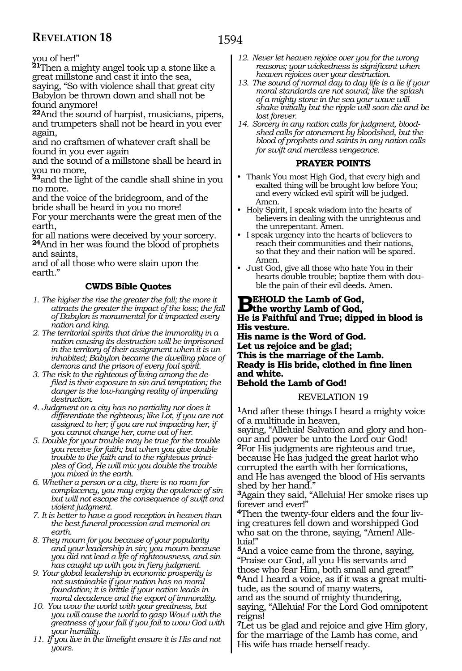you of her!"

**<sup>21</sup>**Then a mighty angel took up a stone like a great millstone and cast it into the sea, saying, "So with violence shall that great city

Babylon be thrown down and shall not be found anymore!

**<sup>22</sup>**And the sound of harpist, musicians, pipers, and trumpeters shall not be heard in you ever again,

and no craftsmen of whatever craft shall be found in you ever again

and the sound of a millstone shall be heard in you no more,

**<sup>23</sup>**and the light of the candle shall shine in you no more.

and the voice of the bridegroom, and of the bride shall be heard in you no more!

For your merchants were the great men of the earth,

for all nations were deceived by your sorcery. **<sup>24</sup>**And in her was found the blood of prophets and saints,

and of all those who were slain upon the earth.'

## **CWDS Bible Quotes**

- *1. The higher the rise the greater the fall; the more it attracts the greater the impact of the loss; the fall of Babylon is monumental for it impacted every nation and king.*
- *2. The territorial spirits that drive the immorality in a nation causing its destruction will be imprisoned in the territory of their assignment when it is uninhabited; Babylon became the dwelling place of demons and the prison of every foul spirit.*
- *3. The risk to the righteous of living among the defiled is their exposure to sin and temptation; the danger is the low-hanging reality of impending destruction.*
- *4. Judgment on a city has no partiality nor does it differentiate the righteous; like Lot, if you are not assigned to her; if you are not impacting her, if you cannot change her, come out of her.*
- *5. Double for your trouble may be true for the trouble you receive for faith; but when you give double trouble to the faith and to the righteous principles of God, He will mix you double the trouble you mixed in the earth.*
- *6. Whether a person or a city, there is no room for complacency, you may enjoy the opulence of sin but will not escape the consequence of swift and violent judgment.*
- *7. It is better to have a good reception in heaven than the best funeral procession and memorial on earth.*
- *8. They mourn for you because of your popularity and your leadership in sin; you mourn because you did not lead a life of righteousness, and sin has caught up with you in fiery judgment.*
- *9. Your global leadership in economic prosperity is not sustainable if your nation has no moral foundation; it is brittle if your nation leads in moral decadence and the export of immorality.*
- *10. You wow the world with your greatness, but you will cause the world to gasp Wow! with the greatness of your fall if you fail to wow God with your humility.*
- *11. If you live in the limelight ensure it is His and not yours.*
- *12. Never let heaven rejoice over you for the wrong reasons; your wickedness is significant when heaven rejoices over your destruction.*
- *13. The sound of normal day to day life is a lie if your moral standards are not sound; like the splash of a mighty stone in the sea your wave will shake initially but the ripple will soon die and be lost forever.*
- *14. Sorcery in any nation calls for judgment, bloodshed calls for atonement by bloodshed, but the blood of prophets and saints in any nation calls for swift and merciless vengeance.*

## **PRAYER POINTS**

- Thank You most High God, that every high and exalted thing will be brought low before You; and every wicked evil spirit will be judged. Amen.
- Holy Spirit, I speak wisdom into the hearts of believers in dealing with the unrighteous and the unrepentant. Amen.
- I speak urgency into the hearts of believers to reach their communities and their nations, so that they and their nation will be spared. Amen.
- Just God, give all those who hate You in their hearts double trouble; baptize them with double the pain of their evil deeds. Amen.

## **BEHOLD the Lamb of God,**<br> **He is Exitated and Trues diam He is Faithful and True; dipped in blood is His vesture. His name is the Word of God. Let us rejoice and be glad; This is the marriage of the Lamb. Ready is His bride, clothed in fine linen and white. Behold the Lamb of God!**

## REVELATION 19

**<sup>1</sup>**And after these things I heard a mighty voice of a multitude in heaven,

saying, "Alleluia! Salvation and glory and honour and power be unto the Lord our God! **<sup>2</sup>**For His judgments are righteous and true, because He has judged the great harlot who corrupted the earth with her fornications, and He has avenged the blood of His servants shed by her hand."

**<sup>3</sup>**Again they said, "Alleluia! Her smoke rises up forever and ever!"

**4**Then the twenty-four elders and the four living creatures fell down and worshipped God who sat on the throne, saying, "Amen! Alleluia!"

**<sup>5</sup>**And a voice came from the throne, saying, "Praise our God, all you His servants and those who fear Him, both small and great!" **6**And I heard a voice, as if it was a great multitude, as the sound of many waters,

and as the sound of mighty thundering, saying, "Alleluia! For the Lord God omnipotent reigns!

**<sup>7</sup>**Let us be glad and rejoice and give Him glory, for the marriage of the Lamb has come, and His wife has made herself ready.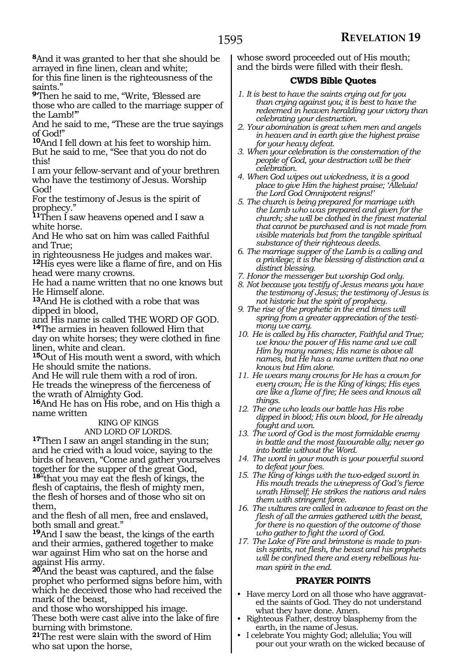**<sup>8</sup>**And it was granted to her that she should be arrayed in fine linen, clean and white; for this fine linen is the righteousness of the

saints." **<sup>9</sup>**'Then he said to me, "Write, 'Blessed are

those who are called to the marriage supper of the Lamb!'"

And he said to me, "These are the true sayings of God!"

**<sup>10</sup>**And I fell down at his feet to worship him. But he said to me, "See that you do not do this!

I am your fellow-servant and of your brethren who have the testimony of Jesus. Worship God!

For the testimony of Jesus is the spirit of prophecy."

**<sup>11</sup>**Then I saw heavens opened and I saw a white horse.

And He who sat on him was called Faithful and True;

in righteousness He judges and makes war. **<sup>12</sup>**His eyes were like a flame of fire, and on His head were many crowns.

He had a name written that no one knows but He Himself alone.

**<sup>13</sup>**And He is clothed with a robe that was dipped in blood,

and His name is called THE WORD OF GOD. **<sup>14</sup>**The armies in heaven followed Him that

day on white horses; they were clothed in fine linen, white and clean.

**<sup>15</sup>**Out of His mouth went a sword, with which He should smite the nations.

And He will rule them with a rod of iron. He treads the winepress of the fierceness of the wrath of Almighty God.

**<sup>16</sup>**And He has on His robe, and on His thigh a name written

## King of kings

and LORD OF LORDS.<br>**17**Then I saw an angel standing in the sun; and he cried with a loud voice, saying to the birds of heaven, "Come and gather yourselves together for the supper of the great God, **<sup>18</sup>**"that you may eat the flesh of kings, the flesh of captains, the flesh of mighty men,

the flesh of horses and of those who sit on them,

and the flesh of all men, free and enslaved, both small and great."

**<sup>19</sup>**And I saw the beast, the kings of the earth and their armies, gathered together to make war against Him who sat on the horse and against His army.

**<sup>20</sup>**And the beast was captured, and the false prophet who performed signs before him, with which he deceived those who had received the mark of the beast,

and those who worshipped his image. These both were cast alive into the lake of fire burning with brimstone.

**<sup>21</sup>**The rest were slain with the sword of Him who sat upon the horse,

whose sword proceeded out of His mouth; and the birds were filled with their flesh.

## **CWDS Bible Quotes**

- *1. It is best to have the saints crying out for you than crying against you; it is best to have the redeemed in heaven heralding your victory than celebrating your destruction.*
- *2. Your abomination is great when men and angels in heaven and in earth give the highest praise for your heavy defeat.*
- *3. When your celebration is the consternation of the people of God, your destruction will be their celebration.*
- *4. When God wipes out wickedness, it is a good place to give Him the highest praise; 'Alleluia! the Lord God Omnipotent reigns!'*
- *5. The church is being prepared for marriage with the Lamb who was prepared and given for the church; she will be clothed in the finest material that cannot be purchased and is not made from visible materials but from the tangible spiritual substance of their righteous deeds.*
- *6. The marriage supper of the Lamb is a calling and a privilege; it is the blessing of distinction and a distinct blessing.*
- *7. Honor the messenger but worship God only.*
- *8. Not because you testify of Jesus means you have the testimony of Jesus; the testimony of Jesus is not historic but the spirit of prophecy.*
- *9. The rise of the prophetic in the end times will spring from a greater appreciation of the testimony we carry.*
- *10. He is called by His character, Faithful and True; we know the power of His name and we call Him by many names; His name is above all names, but He has a name written that no one knows but Him alone.*
- *11. He wears many crowns for He has a crown for every crown; He is the King of kings; His eyes are like a flame of fire; He sees and knows all things.*
- *12. The one who leads our battle has His robe dipped in blood; His own blood, for He already fought and won.*
- *13. The word of God is the most formidable enemy in battle and the most favourable ally; never go into battle without the Word.*
- *14. The word in your mouth is your powerful sword to defeat your foes.*
- *15. The King of kings with the two-edged sword in His mouth treads the winepress of God's fierce wrath Himself; He strikes the nations and rules them with stringent force.*
- *16. The vultures are called in advance to feast on the flesh of all the armies gathered with the beast, for there is no question of the outcome of those who gather to fight the word of God.*
- *17. The Lake of Fire and brimstone is made to punish spirits, not flesh, the beast and his prophets will be confined there and every rebellious human spirit in the end.*

## **PRAYER POINTS**

- Have mercy Lord on all those who have aggravated the saints of God. They do not understand what they have done. Amen.
- Righteous Father, destroy blasphemy from the earth, in the name of Jesus.
- I celebrate You mighty God; allelulia; You will pour out your wrath on the wicked because of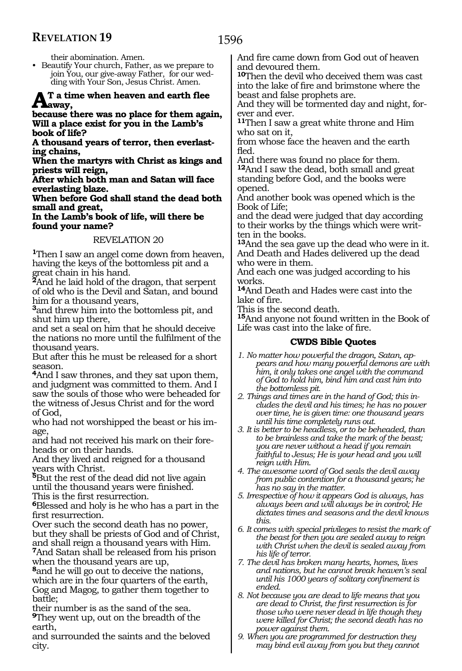their abomination. Amen.

• Beautify Your church, Father, as we prepare to join You, our give-away Father, for our wedding with Your Son, Jesus Christ. Amen.

## **At a time when heaven and earth flee**   $A<sub>away</sub>$

**because there was no place for them again, Will a place exist for you in the Lamb's book of life?**

**A thousand years of terror, then everlasting chains,**

**When the martyrs with Christ as kings and priests will reign,**

**After which both man and Satan will face everlasting blaze.** 

**When before God shall stand the dead both small and great,**

**In the Lamb's book of life, will there be found your name?**

## REVELATION 20

**<sup>1</sup>**Then I saw an angel come down from heaven, having the keys of the bottomless pit and a great chain in his hand.

**<sup>2</sup>**And he laid hold of the dragon, that serpent of old who is the Devil and Satan, and bound him for a thousand years,

**<sup>3</sup>**and threw him into the bottomless pit, and shut him up there,

and set a seal on him that he should deceive the nations no more until the fulfilment of the thousand years.

But after this he must be released for a short season.

**<sup>4</sup>**And I saw thrones, and they sat upon them, and judgment was committed to them. And I saw the souls of those who were beheaded for the witness of Jesus Christ and for the word of God,

who had not worshipped the beast or his image,

and had not received his mark on their foreheads or on their hands.

And they lived and reigned for a thousand years with Christ.

**<sup>5</sup>**But the rest of the dead did not live again until the thousand years were finished.

This is the first resurrection.

**<sup>6</sup>**Blessed and holy is he who has a part in the first resurrection.

Over such the second death has no power, but they shall be priests of God and of Christ, and shall reign a thousand years with Him.

**<sup>7</sup>**And Satan shall be released from his prison when the thousand years are up,

**<sup>8</sup>**and he will go out to deceive the nations, which are in the four quarters of the earth, Gog and Magog, to gather them together to battle;

their number is as the sand of the sea. **<sup>9</sup>**They went up, out on the breadth of the earth,

and surrounded the saints and the beloved city.

And fire came down from God out of heaven and devoured them.

**<sup>10</sup>**Then the devil who deceived them was cast into the lake of fire and brimstone where the beast and false prophets are.

And they will be tormented day and night, for- ever and ever.

**<sup>11</sup>**Then I saw a great white throne and Him who sat on it,

from whose face the heaven and the earth fled.

And there was found no place for them. **<sup>12</sup>**And I saw the dead, both small and great standing before God, and the books were opened.

And another book was opened which is the Book of Life;

and the dead were judged that day according to their works by the things which were writ- ten in the books.

**<sup>13</sup>**And the sea gave up the dead who were in it. And Death and Hades delivered up the dead who were in them.

And each one was judged according to his works.

**<sup>14</sup>**And Death and Hades were cast into the lake of fire.

This is the second death.

**<sup>15</sup>**And anyone not found written in the Book of Life was cast into the lake of fire.

- *1. No matter how powerful the dragon, Satan, appears and how many powerful demons are with him, it only takes one angel with the command of God to hold him, bind him and cast him into the bottomless pit.*
- *2. Things and times are in the hand of God; this includes the devil and his times; he has no power over time, he is given time: one thousand years until his time completely runs out.*
- *3. It is better to be headless, or to be beheaded, than to be brainless and take the mark of the beast; you are never without a head if you remain faithful to Jesus; He is your head and you will reign with Him.*
- *4. The awesome word of God seals the devil away from public contention for a thousand years; he has no say in the matter.*
- *5. Irrespective of how it appears God is always, has always been and will always be in control; He dictates times and seasons and the devil knows this.*
- *6. It comes with special privileges to resist the mark of the beast for then you are sealed away to reign with Christ when the devil is sealed away from his life of terror.*
- *7. The devil has broken many hearts, homes, lives and nations, but he cannot break heaven's seal until his 1000 years of solitary confinement is ended.*
- *8. Not because you are dead to life means that you are dead to Christ, the first resurrection is for those who were never dead in life though they were killed for Christ; the second death has no power against them.*
- *9. When you are programmed for destruction they may bind evil away from you but they cannot*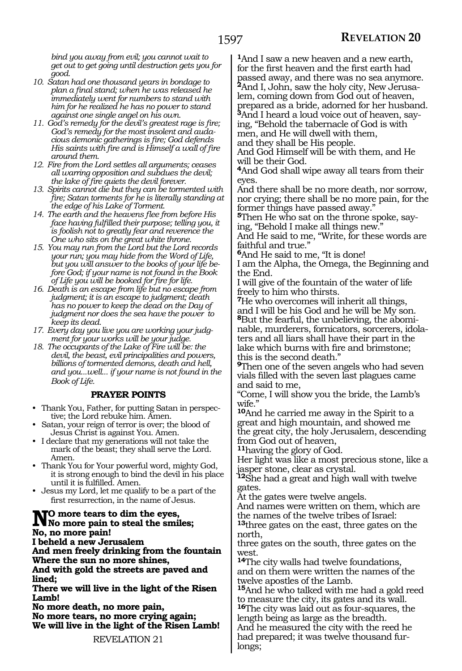*bind you away from evil; you cannot wait to get out to get going until destruction gets you for good.*

- *10. Satan had one thousand years in bondage to plan a final stand; when he was released he immediately went for numbers to stand with him for he realized he has no power to stand against one single angel on his own.*
- *11. God's remedy for the devil's greatest rage is fire; God's remedy for the most insolent and audacious demonic gatherings is fire; God defends His saints with fire and is Himself a wall of fire around them.*
- *12. Fire from the Lord settles all arguments; ceases all warring opposition and subdues the devil; the lake of fire quiets the devil forever.*
- *13. Spirits cannot die but they can be tormented with fire; Satan torments for he is literally standing at the edge of his Lake of Torment.*
- *14. The earth and the heavens flee from before His face having fulfilled their purpose; telling you, it is foolish not to greatly fear and reverence the One who sits on the great white throne.*
- *15. You may run from the Lord but the Lord records your run; you may hide from the Word of Life, but you will answer to the books of your life before God; if your name is not found in the Book of Life you will be booked for fire for life.*
- *16. Death is an escape from life but no escape from judgment; it is an escape to judgment; death has no power to keep the dead on the Day of judgment nor does the sea have the power to keep its dead.*
- *17. Every day you live you are working your judgment for your works will be your judge.*
- *18. The occupants of the Lake of Fire will be: the devil, the beast, evil principalities and powers, billions of tormented demons, death and hell, and you...well... if your name is not found in the Book of Life.*

## **PRAYER POINTS**

- Thank You, Father, for putting Satan in perspective; the Lord rebuke him. Amen.
- Satan, your reign of terror is over; the blood of Jesus Christ is against You. Amen.
- I declare that my generations will not take the mark of the beast; they shall serve the Lord. Amen.
- Thank You for Your powerful word, mighty God, it is strong enough to bind the devil in his place until it is fulfilled. Amen.
- Jesus my Lord, let me qualify to be a part of the first resurrection, in the name of Jesus.

## **No more tears to dim the eyes, No more pain to steal the smiles; No, no more pain!**

**I beheld a new Jerusalem** 

**And men freely drinking from the fountain Where the sun no more shines,**

**And with gold the streets are paved and lined;**

**There we will live in the light of the Risen Lamb!**

**No more death, no more pain, No more tears, no more crying again; We will live in the light of the Risen Lamb!**

**<sup>1</sup>**And I saw a new heaven and a new earth, for the first heaven and the first earth had passed away, and there was no sea anymore. **2**And I, John, saw the holy city, New Jerusalem, coming down from God out of heaven, prepared as a bride, adorned for her husband. **3**And I heard a loud voice out of heaven, saying, "Behold the tabernacle of God is with men, and He will dwell with them,

and they shall be His people.

And God Himself will be with them, and He will be their God.

**<sup>4</sup>**And God shall wipe away all tears from their eyes.

And there shall be no more death, nor sorrow, nor crying; there shall be no more pain, for the former things have passed away."

**5**Then He who sat on the throne spoke, saying, "Behold I make all things new."

And He said to me, "Write, for these words are faithful and true."

**<sup>6</sup>**And He said to me, "It is done!

I am the Alpha, the Omega, the Beginning and the End.

I will give of the fountain of the water of life freely to him who thirsts.

**<sup>7</sup>**He who overcomes will inherit all things, and I will be his God and he will be My son. **8**But the fearful, the unbelieving, the abominable, murderers, fornicators, sorcerers, idolaters and all liars shall have their part in the lake which burns with fire and brimstone; this is the second death."

**<sup>9</sup>**Then one of the seven angels who had seven vials filled with the seven last plagues came and said to me,

"Come, I will show you the bride, the Lamb's wife."

**<sup>10</sup>**And he carried me away in the Spirit to a great and high mountain, and showed me the great city, the holy Jerusalem, descending from God out of heaven,

**<sup>11</sup>**having the glory of God.

Her light was like a most precious stone, like a jasper stone, clear as crystal.

**<sup>12</sup>**She had a great and high wall with twelve gates.

At the gates were twelve angels.

And names were written on them, which are the names of the twelve tribes of Israel:

**<sup>13</sup>**three gates on the east, three gates on the north,

three gates on the south, three gates on the west.

**<sup>14</sup>**The city walls had twelve foundations, and on them were written the names of the twelve apostles of the Lamb.

**<sup>15</sup>**And he who talked with me had a gold reed to measure the city, its gates and its wall. **<sup>16</sup>**The city was laid out as four-squares, the length being as large as the breadth.

And he measured the city with the reed he had prepared; it was twelve thousand furlongs;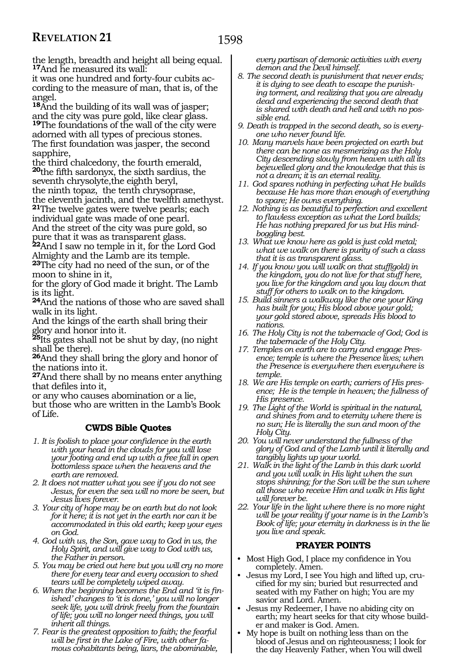the length, breadth and height all being equal. **<sup>17</sup>**And he measured its wall:

it was one hundred and forty-four cubits according to the measure of man, that is, of the angel.

**<sup>18</sup>**And the building of its wall was of jasper; and the city was pure gold, like clear glass. **<sup>19</sup>**The foundations of the wall of the city were adorned with all types of precious stones. The first foundation was jasper, the second sapphire,

the third chalcedony, the fourth emerald, **<sup>20</sup>**the fifth sardonyx, the sixth sardius, the seventh chrysolyte,the eighth beryl, the ninth topaz, the tenth chrysoprase,

the eleventh jacinth, and the twelfth amethyst. **<sup>21</sup>**The twelve gates were twelve pearls; each individual gate was made of one pearl.

And the street of the city was pure gold, so pure that it was as transparent glass.

**<sup>22</sup>**And I saw no temple in it, for the Lord God Almighty and the Lamb are its temple.

**<sup>23</sup>**The city had no need of the sun, or of the moon to shine in it,

for the glory of God made it bright. The Lamb is its light.

**<sup>24</sup>**And the nations of those who are saved shall walk in its light.

And the kings of the earth shall bring their glory and honor into it.

**<sup>25</sup>**Its gates shall not be shut by day, (no night shall be there).

**<sup>26</sup>**And they shall bring the glory and honor of the nations into it.

**<sup>27</sup>**And there shall by no means enter anything that defiles into it,

or any who causes abomination or a lie, but those who are written in the Lamb's Book of Life.

## **CWDS Bible Quotes**

- *1. It is foolish to place your confidence in the earth with your head in the clouds for you will lose your footing and end up with a free fall in open bottomless space when the heavens and the earth are removed.*
- *2. It does not matter what you see if you do not see Jesus, for even the sea will no more be seen, but Jesus lives forever.*
- *3. Your city of hope may be on earth but do not look for it here; it is not yet in the earth nor can it be accommodated in this old earth; keep your eyes on God.*
- *4. God with us, the Son, gave way to God in us, the Holy Spirit, and will give way to God with us, the Father in person.*
- *5. You may be cried out here but you will cry no more there for every tear and every occasion to shed tears will be completely wiped away.*
- *6. When the beginning becomes the End and 'it is finished' changes to 'it is done,' you will no longer seek life, you will drink freely from the fountain of life; you will no longer need things, you will inherit all things.*
- *7. Fear is the greatest opposition to faith; the fearful will be first in the Lake of Fire, with other famous cohabitants being, liars, the abominable,*

*every partisan of demonic activities with every demon and the Devil himself.*

- *8. The second death is punishment that never ends; it is dying to see death to escape the punishing torment, and realizing that you are already dead and experiencing the second death that is shared with death and hell and with no possible end.*
- *9. Death is trapped in the second death, so is everyone who never found life.*
- *10. Many marvels have been projected on earth but there can be none as mesmerizing as the Holy City descending slowly from heaven with all its bejewelled glory and the knowledge that this is not a dream; it is an eternal reality.*
- *11. God spares nothing in perfecting what He builds because He has more than enough of everything to spare; He owns everything.*
- *12. Nothing is as beautiful to perfection and excellent to flawless exception as what the Lord builds; He has nothing prepared for us but His mindboggling best.*
- *13. What we know here as gold is just cold metal; what we walk on there is purity of such a class that it is as transparent glass.*
- *14. If you know you will walk on that stuff(gold) in the kingdom, you do not live for that stuff here, you live for the kingdom and you lay down that stuff for others to walk on to the kingdom.*
- *15. Build sinners a walkway like the one your King has built for you; His blood above your gold; your gold stored above, spreads His blood to nations.*
- *16. The Holy City is not the tabernacle of God; God is the tabernacle of the Holy City.*
- *17. Temples on earth are to carry and engage Presence; temple is where the Presence lives; when the Presence is everywhere then everywhere is temple.*
- *18. We are His temple on earth; carriers of His presence; He is the temple in heaven; the fullness of His presence.*
- *19. The Light of the World is spiritual in the natural, and shines from and to eternity where there is no sun; He is literally the sun and moon of the Holy City.*
- *20. You will never understand the fullness of the glory of God and of the Lamb until it literally and tangibly lights up your world.*
- *21. Walk in the light of the Lamb in this dark world and you will walk in His light when the sun stops shinning; for the Son will be the sun where all those who receive Him and walk in His light will forever be.*
- *22. Your life in the light where there is no more night will be your reality if your name is in the Lamb's Book of life; your eternity in darkness is in the lie you live and speak.*

## **PRAYER POINTS**

- Most High God, I place my confidence in You completely. Amen.
- Jesus my Lord, I see You high and lifted up, crucified for my sin; buried but resurrected and seated with my Father on high; You are my savior and Lord. Amen.
- Jesus my Redeemer, I have no abiding city on earth; my heart seeks for that city whose builder and maker is God. Amen.
- My hope is built on nothing less than on the blood of Jesus and on righteousness; I look for the day Heavenly Father, when You will dwell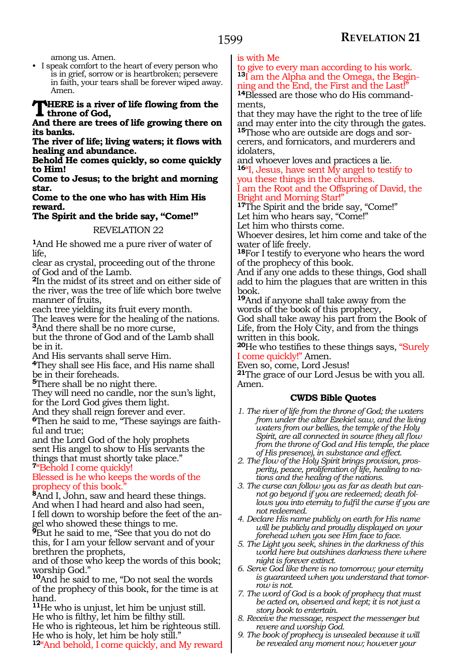among us. Amen.

• I speak comfort to the heart of every person who is in grief, sorrow or is heartbroken; persevere in faith, your tears shall be forever wiped away. Amen.

#### **THERE** is a river of life flowing from the **throne of God,**

**And there are trees of life growing there on its banks.**

**The river of life; living waters; it flows with healing and abundance.**

**Behold He comes quickly, so come quickly to Him!**

**Come to Jesus; to the bright and morning star.**

**Come to the one who has with Him His reward.**

## **The Spirit and the bride say, "Come!"**

REVELATION 22

**<sup>1</sup>**And He showed me a pure river of water of life,

clear as crystal, proceeding out of the throne of God and of the Lamb.

**<sup>2</sup>**In the midst of its street and on either side of the river, was the tree of life which bore twelve manner of fruits,

each tree yielding its fruit every month. The leaves were for the healing of the nations. **<sup>3</sup>**And there shall be no more curse,

but the throne of God and of the Lamb shall be in it.

And His servants shall serve Him.

**<sup>4</sup>**They shall see His face, and His name shall be in their foreheads.

**<sup>5</sup>**There shall be no night there.

They will need no candle, nor the sun's light, for the Lord God gives them light.

And they shall reign forever and ever.

**6**Then he said to me, "These sayings are faithful and true;

and the Lord God of the holy prophets sent His angel to show to His servants the things that must shortly take place." **<sup>7</sup>**"Behold I come quickly!

## Blessed is he who keeps the words of the prophecy of this book.

**<sup>8</sup>**And I, John, saw and heard these things. And when I had heard and also had seen, I fell down to worship before the feet of the angel who showed these things to me.

**<sup>9</sup>**But he said to me, "See that you do not do this, for I am your fellow servant and of your brethren the prophets,

and of those who keep the words of this book; worship God."

**<sup>10</sup>**And he said to me, "Do not seal the words of the prophecy of this book, for the time is at hand.

**<sup>11</sup>**He who is unjust, let him be unjust still. He who is filthy, let him be filthy still. He who is righteous, let him be righteous still. He who is holy, let him be holy still."

**<sup>12</sup>**"And behold, I come quickly, and My reward

is with Me

to give to every man according to his work. **13**I am the Alpha and the Omega, the Beginning and the End, the First and the Last!"

**14**Blessed are those who do His commandments,

that they may have the right to the tree of life and may enter into the city through the gates. **15**Those who are outside are dogs and sor-

cerers, and fornicators, and murderers and idolaters,

and whoever loves and practices a lie. **<sup>16</sup>**"I, Jesus, have sent My angel to testify to you these things in the churches.

I am the Root and the Offspring of David, the Bright and Morning Star!"

**<sup>17</sup>**The Spirit and the bride say, "Come!" Let him who hears say, "Come!"

Let him who thirsts come.

Whoever desires, let him come and take of the water of life freely.

**<sup>18</sup>**For I testify to everyone who hears the word of the prophecy of this book.

And if any one adds to these things, God shall add to him the plagues that are written in this book.

**<sup>19</sup>**And if anyone shall take away from the words of the book of this prophecy,

God shall take away his part from the Book of Life, from the Holy City, and from the things written in this book.

**<sup>20</sup>**He who testifies to these things says, "Surely I come quickly!" Amen.

Even so, come, Lord Jesus!

**<sup>21</sup>**The grace of our Lord Jesus be with you all. Amen.

- *1. The river of life from the throne of God; the waters from under the altar Ezekiel saw, and the living waters from our bellies, the temple of the Holy Spirit, are all connected in source (they all flow from the throne of God and His temple, the place of His presence), in substance and effect.*
- *2. The flow of the Holy Spirit brings provision, prosperity, peace, proliferation of life, healing to nations and the healing of the nations.*
- *3. The curse can follow you as far as death but cannot go beyond if you are redeemed; death follows you into eternity to fulfil the curse if you are not redeemed.*
- *4. Declare His name publicly on earth for His name will be publicly and proudly displayed on your forehead when you see Him face to face.*
- *5. The Light you seek, shines in the darkness of this world here but outshines darkness there where night is forever extinct.*
- *6. Serve God like there is no tomorrow; your eternity is guaranteed when you understand that tomorrow is not.*
- *7. The word of God is a book of prophecy that must be acted on, observed and kept; it is not just a story book to entertain.*
- *8. Receive the message, respect the messenger but revere and worship God.*
- *9. The book of prophecy is unsealed because it will be revealed any moment now; however your*